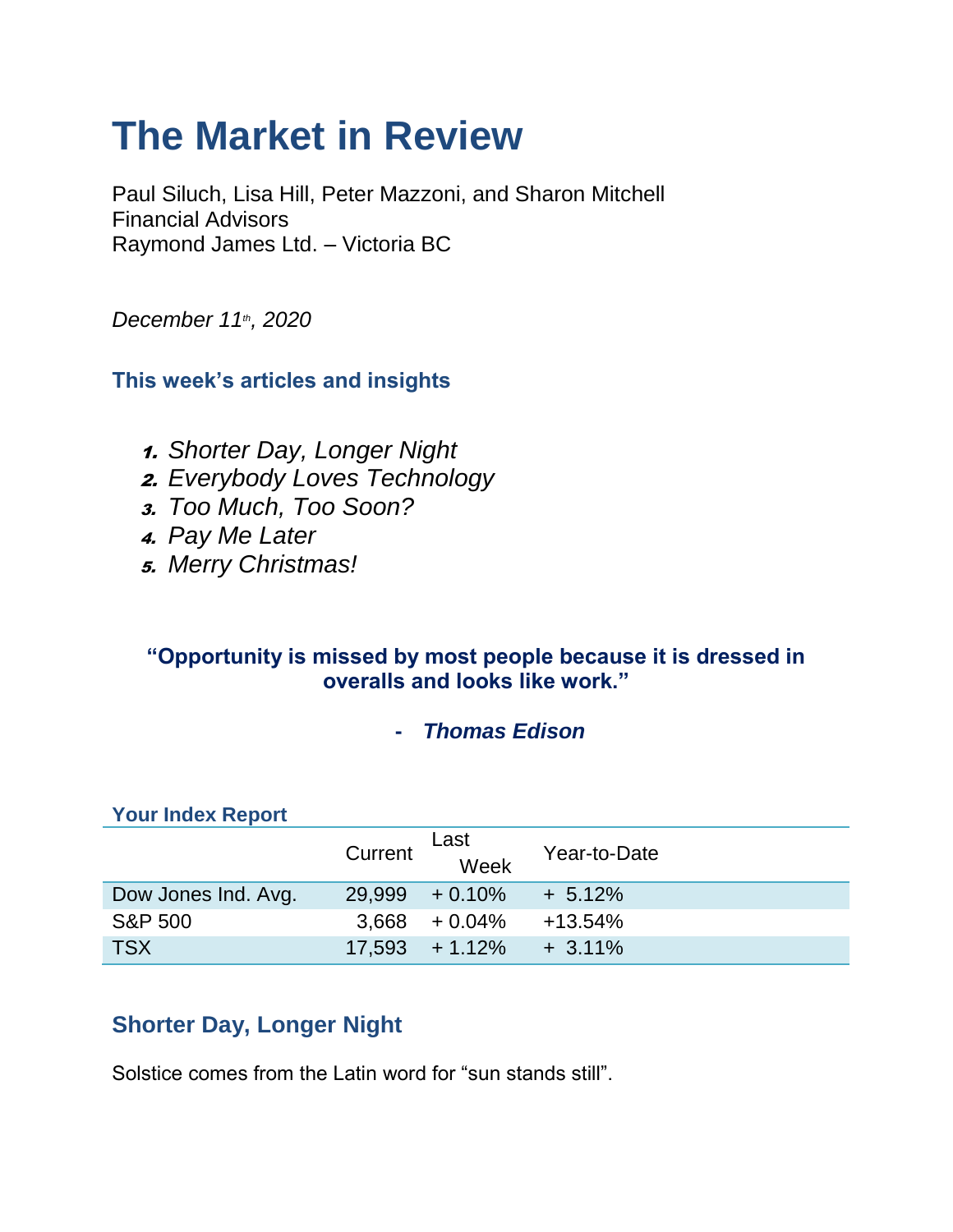# **The Market in Review**

Paul Siluch, Lisa Hill, Peter Mazzoni, and Sharon Mitchell Financial Advisors Raymond James Ltd. – Victoria BC

*December 11th, 2020*

**This week's articles and insights**

- 1. *Shorter Day, Longer Night*
- 2. *Everybody Loves Technology*
- 3. *Too Much, Too Soon?*
- 4. *Pay Me Later*
- 5. *Merry Christmas!*

#### **"Opportunity is missed by most people because it is dressed in overalls and looks like work."**

**-** *Thomas Edison*

#### **Your Index Report**

|                     | Current | Last<br>Week      | Year-to-Date |
|---------------------|---------|-------------------|--------------|
| Dow Jones Ind. Avg. |         | $29.999 + 0.10\%$ | $+ 5.12%$    |
| <b>S&amp;P 500</b>  |         | $3,668$ + 0.04%   | $+13.54%$    |
| <b>TSX</b>          |         | $17.593 + 1.12\%$ | $+3.11\%$    |

## **Shorter Day, Longer Night**

Solstice comes from the Latin word for "sun stands still".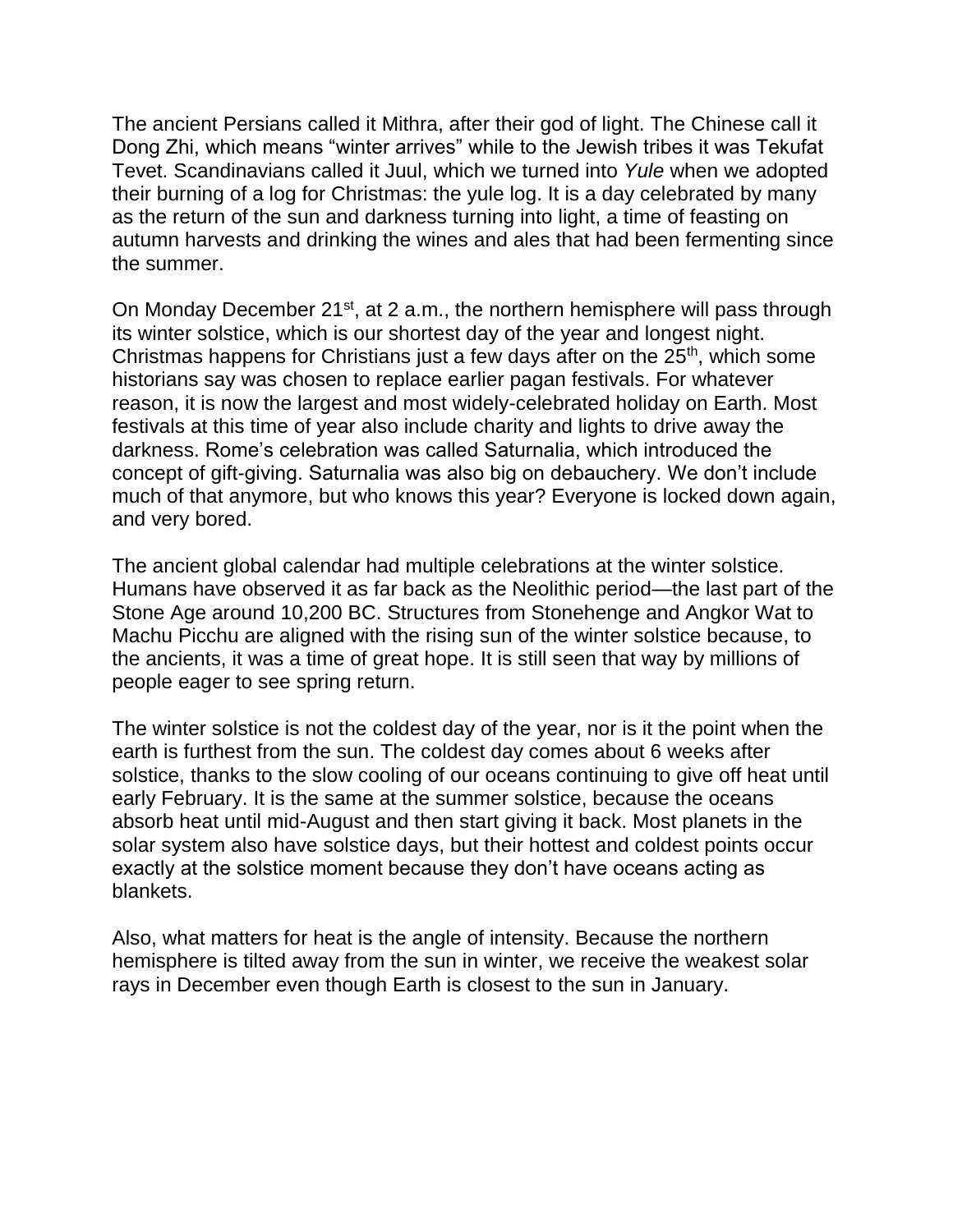The ancient Persians called it Mithra, after their god of light. The Chinese call it Dong Zhi, which means "winter arrives" while to the Jewish tribes it was Tekufat Tevet. Scandinavians called it Juul, which we turned into *Yule* when we adopted their burning of a log for Christmas: the yule log. It is a day celebrated by many as the return of the sun and darkness turning into light, a time of feasting on autumn harvests and drinking the wines and ales that had been fermenting since the summer.

On Monday December 21<sup>st</sup>, at 2 a.m., the northern hemisphere will pass through its winter solstice, which is our shortest day of the year and longest night. Christmas happens for Christians just a few days after on the  $25<sup>th</sup>$ , which some historians say was chosen to replace earlier pagan festivals. For whatever reason, it is now the largest and most widely-celebrated holiday on Earth. Most festivals at this time of year also include charity and lights to drive away the darkness. Rome's celebration was called Saturnalia, which introduced the concept of gift-giving. Saturnalia was also big on debauchery. We don't include much of that anymore, but who knows this year? Everyone is locked down again, and very bored.

The ancient global calendar had multiple celebrations at the winter solstice. Humans have observed it as far back as the Neolithic period—the last part of the Stone Age around 10,200 BC. Structures from Stonehenge and Angkor Wat to Machu Picchu are aligned with the rising sun of the winter solstice because, to the ancients, it was a time of great hope. It is still seen that way by millions of people eager to see spring return.

The winter solstice is not the coldest day of the year, nor is it the point when the earth is furthest from the sun. The coldest day comes about 6 weeks after solstice, thanks to the slow cooling of our oceans continuing to give off heat until early February. It is the same at the summer solstice, because the oceans absorb heat until mid-August and then start giving it back. Most planets in the solar system also have solstice days, but their hottest and coldest points occur exactly at the solstice moment because they don't have oceans acting as blankets.

Also, what matters for heat is the angle of intensity. Because the northern hemisphere is tilted away from the sun in winter, we receive the weakest solar rays in December even though Earth is closest to the sun in January.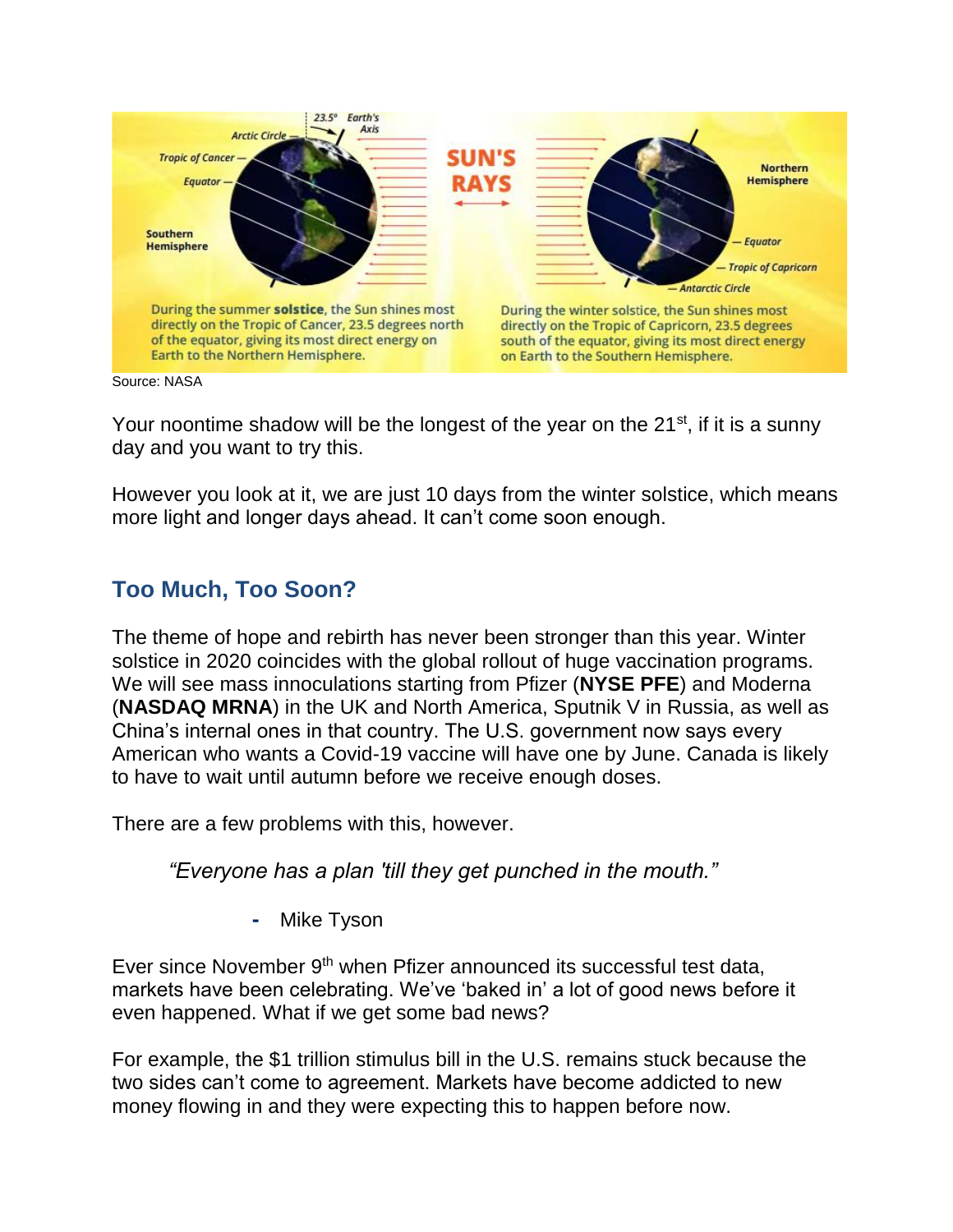

Your noontime shadow will be the longest of the year on the  $21^{st}$ , if it is a sunny day and you want to try this.

However you look at it, we are just 10 days from the winter solstice, which means more light and longer days ahead. It can't come soon enough.

### **Too Much, Too Soon?**

The theme of hope and rebirth has never been stronger than this year. Winter solstice in 2020 coincides with the global rollout of huge vaccination programs. We will see mass innoculations starting from Pfizer (**NYSE PFE**) and Moderna (**NASDAQ MRNA**) in the UK and North America, Sputnik V in Russia, as well as China's internal ones in that country. The U.S. government now says every American who wants a Covid-19 vaccine will have one by June. Canada is likely to have to wait until autumn before we receive enough doses.

There are a few problems with this, however.

*"Everyone has a plan 'till they get punched in the mouth."*

**-** Mike Tyson

Ever since November 9<sup>th</sup> when Pfizer announced its successful test data, markets have been celebrating. We've 'baked in' a lot of good news before it even happened. What if we get some bad news?

For example, the \$1 trillion stimulus bill in the U.S. remains stuck because the two sides can't come to agreement. Markets have become addicted to new money flowing in and they were expecting this to happen before now.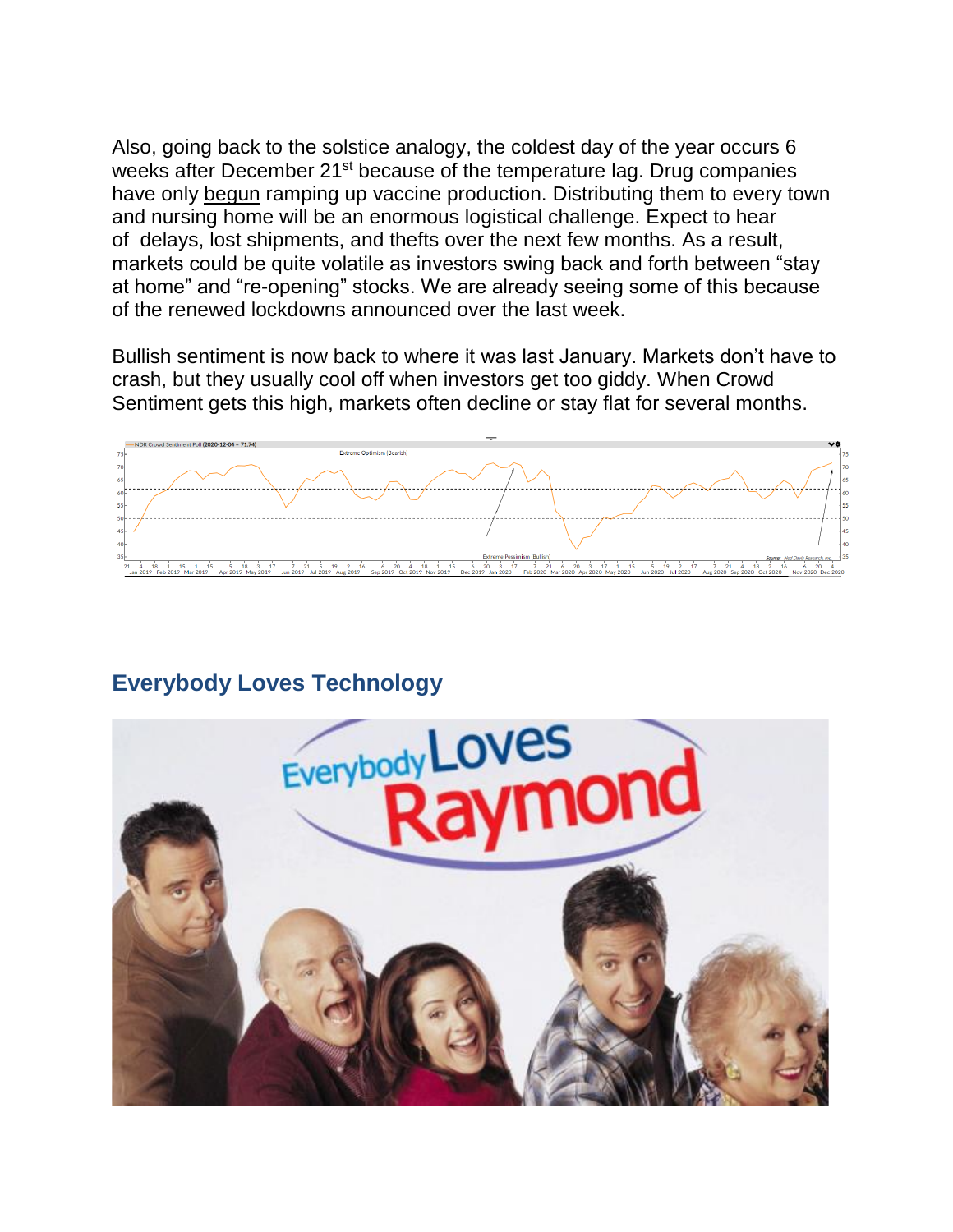Also, going back to the solstice analogy, the coldest day of the year occurs 6 weeks after December 21<sup>st</sup> because of the temperature lag. Drug companies have only begun ramping up vaccine production. Distributing them to every town and nursing home will be an enormous logistical challenge. Expect to hear of delays, lost shipments, and thefts over the next few months. As a result, markets could be quite volatile as investors swing back and forth between "stay at home" and "re-opening" stocks. We are already seeing some of this because of the renewed lockdowns announced over the last week.

Bullish sentiment is now back to where it was last January. Markets don't have to crash, but they usually cool off when investors get too giddy. When Crowd Sentiment gets this high, markets often decline or stay flat for several months.



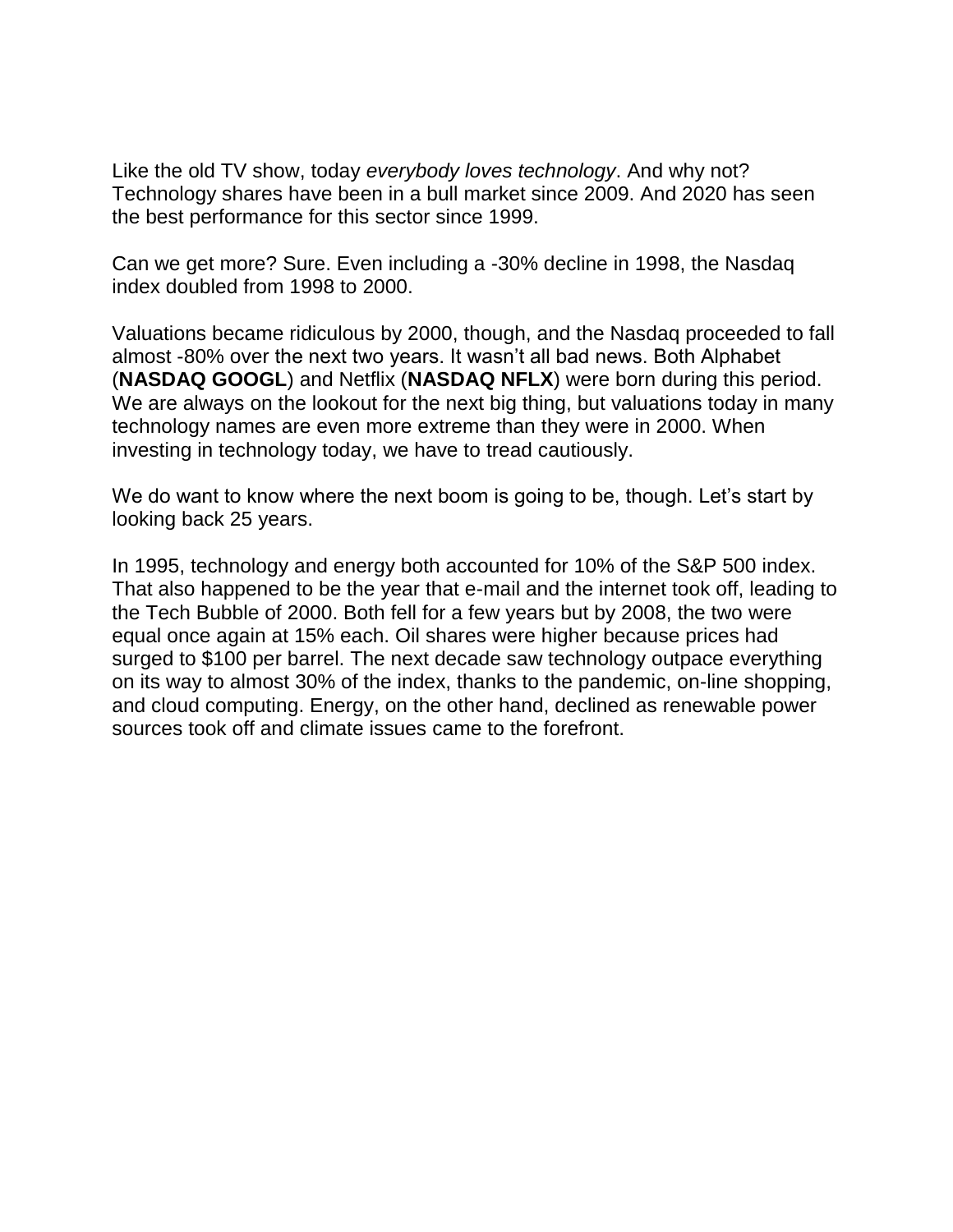Like the old TV show, today *everybody loves technology*. And why not? Technology shares have been in a bull market since 2009. And 2020 has seen the best performance for this sector since 1999.

Can we get more? Sure. Even including a -30% decline in 1998, the Nasdaq index doubled from 1998 to 2000.

Valuations became ridiculous by 2000, though, and the Nasdaq proceeded to fall almost -80% over the next two years. It wasn't all bad news. Both Alphabet (**NASDAQ GOOGL**) and Netflix (**NASDAQ NFLX**) were born during this period. We are always on the lookout for the next big thing, but valuations today in many technology names are even more extreme than they were in 2000. When investing in technology today, we have to tread cautiously.

We do want to know where the next boom is going to be, though. Let's start by looking back 25 years.

In 1995, technology and energy both accounted for 10% of the S&P 500 index. That also happened to be the year that e-mail and the internet took off, leading to the Tech Bubble of 2000. Both fell for a few years but by 2008, the two were equal once again at 15% each. Oil shares were higher because prices had surged to \$100 per barrel. The next decade saw technology outpace everything on its way to almost 30% of the index, thanks to the pandemic, on-line shopping, and cloud computing. Energy, on the other hand, declined as renewable power sources took off and climate issues came to the forefront.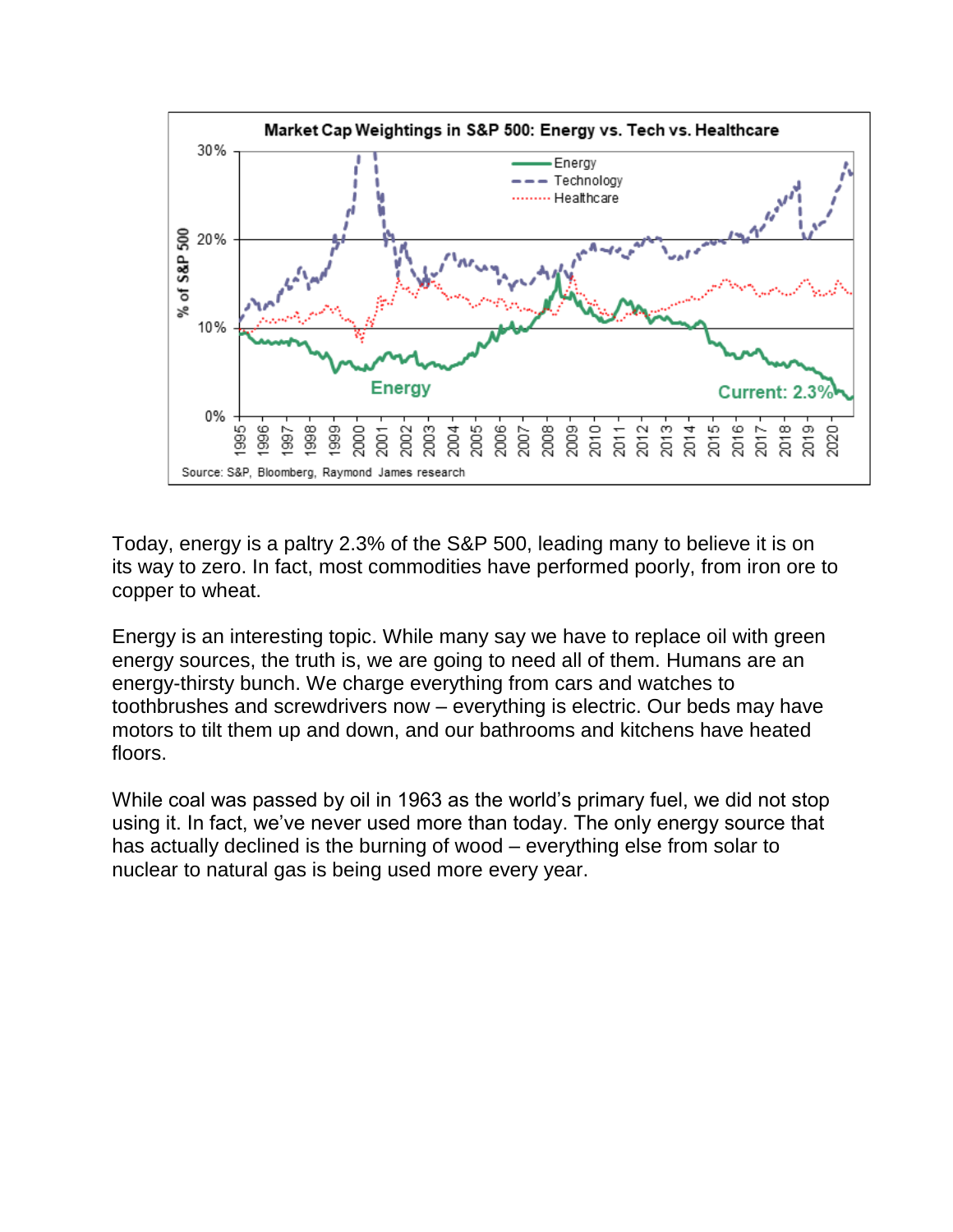

Today, energy is a paltry 2.3% of the S&P 500, leading many to believe it is on its way to zero. In fact, most commodities have performed poorly, from iron ore to copper to wheat.

Energy is an interesting topic. While many say we have to replace oil with green energy sources, the truth is, we are going to need all of them. Humans are an energy-thirsty bunch. We charge everything from cars and watches to toothbrushes and screwdrivers now – everything is electric. Our beds may have motors to tilt them up and down, and our bathrooms and kitchens have heated floors.

While coal was passed by oil in 1963 as the world's primary fuel, we did not stop using it. In fact, we've never used more than today. The only energy source that has actually declined is the burning of wood – everything else from solar to nuclear to natural gas is being used more every year.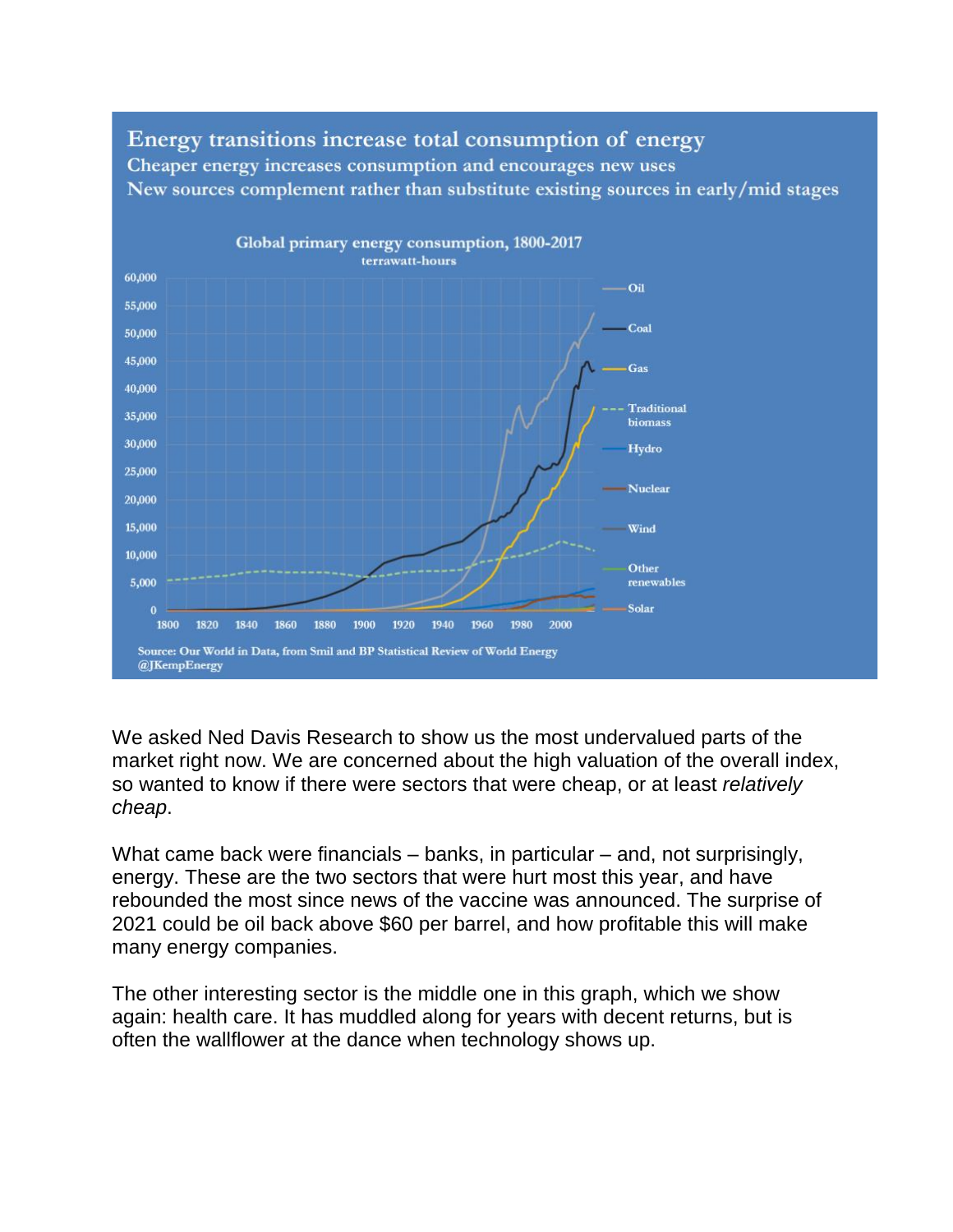

Energy transitions increase total consumption of energy Cheaper energy increases consumption and encourages new uses New sources complement rather than substitute existing sources in early/mid stages

We asked Ned Davis Research to show us the most undervalued parts of the market right now. We are concerned about the high valuation of the overall index, so wanted to know if there were sectors that were cheap, or at least *relatively cheap*.

What came back were financials – banks, in particular – and, not surprisingly, energy. These are the two sectors that were hurt most this year, and have rebounded the most since news of the vaccine was announced. The surprise of 2021 could be oil back above \$60 per barrel, and how profitable this will make many energy companies.

The other interesting sector is the middle one in this graph, which we show again: health care. It has muddled along for years with decent returns, but is often the wallflower at the dance when technology shows up.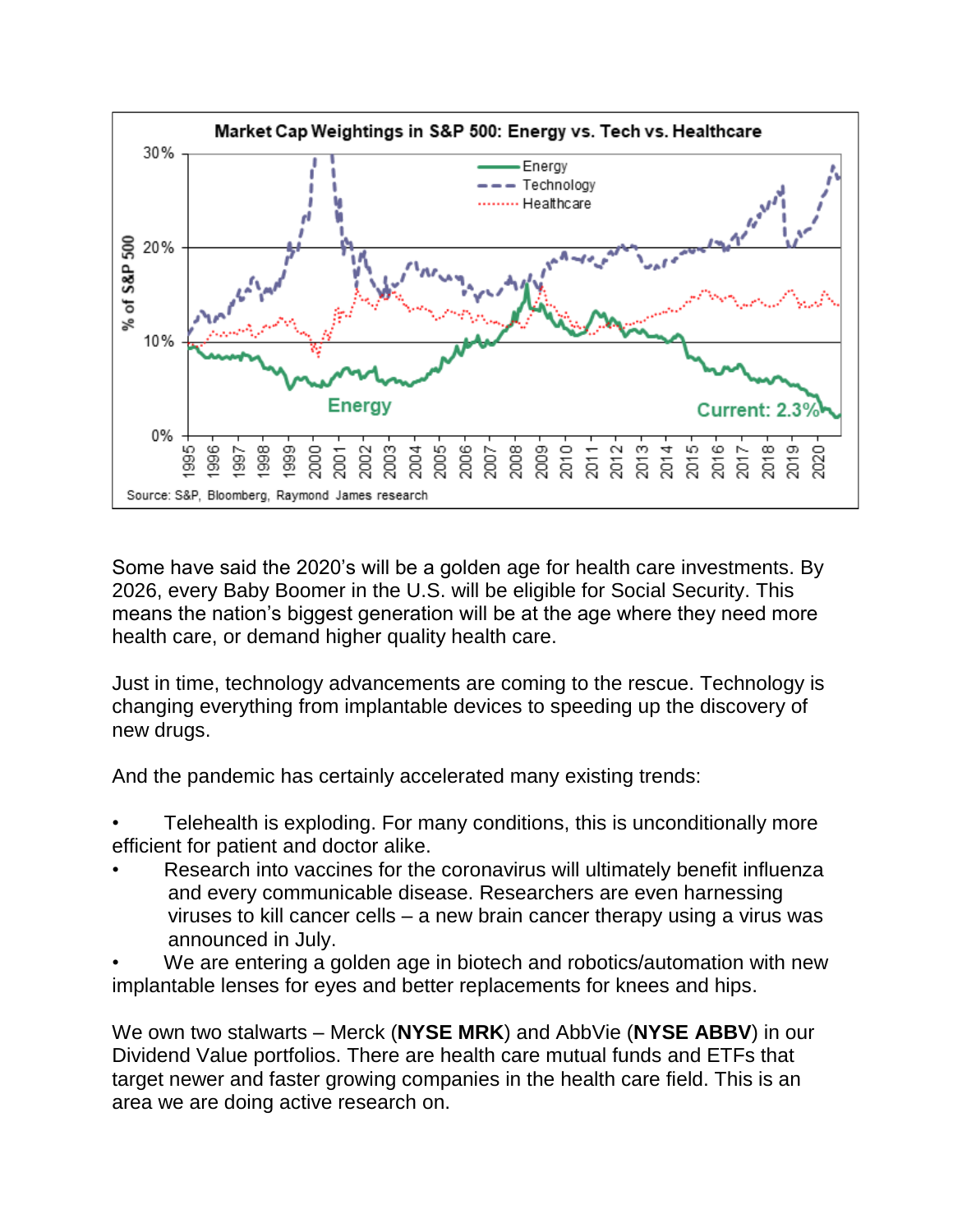

Some have said the 2020's will be a golden age for health care investments. By 2026, every Baby Boomer in the U.S. will be eligible for Social Security. This means the nation's biggest generation will be at the age where they need more health care, or demand higher quality health care.

Just in time, technology advancements are coming to the rescue. Technology is changing everything from implantable devices to speeding up the discovery of new drugs.

And the pandemic has certainly accelerated many existing trends:

• Telehealth is exploding. For many conditions, this is unconditionally more efficient for patient and doctor alike.

- Research into vaccines for the coronavirus will ultimately benefit influenza and every communicable disease. Researchers are even harnessing viruses to kill cancer cells – a new brain cancer therapy using a virus was announced in July.
- We are entering a golden age in biotech and robotics/automation with new implantable lenses for eyes and better replacements for knees and hips.

We own two stalwarts – Merck (**NYSE MRK**) and AbbVie (**NYSE ABBV**) in our Dividend Value portfolios. There are health care mutual funds and ETFs that target newer and faster growing companies in the health care field. This is an area we are doing active research on.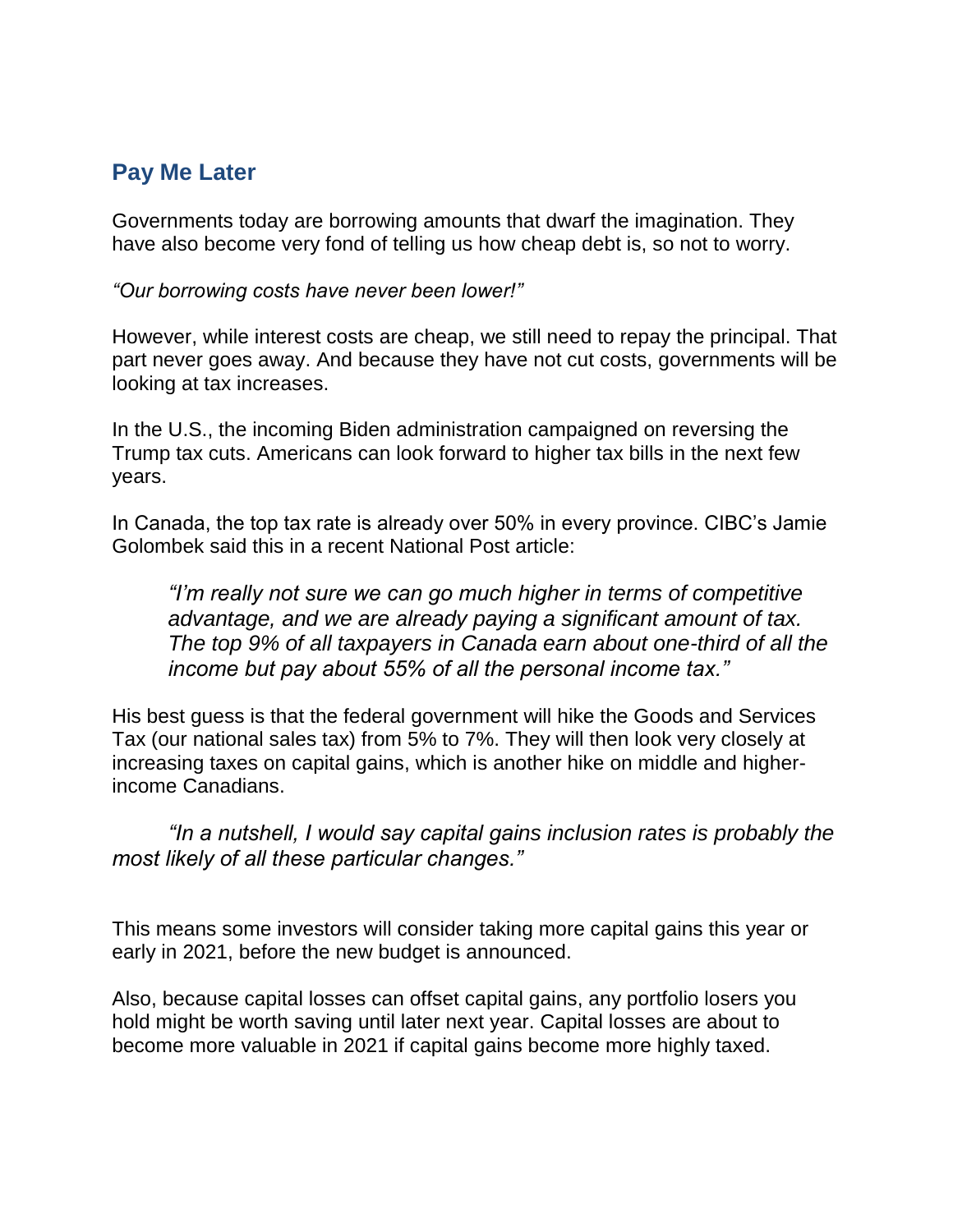### **Pay Me Later**

Governments today are borrowing amounts that dwarf the imagination. They have also become very fond of telling us how cheap debt is, so not to worry.

*"Our borrowing costs have never been lower!"*

However, while interest costs are cheap, we still need to repay the principal. That part never goes away. And because they have not cut costs, governments will be looking at tax increases.

In the U.S., the incoming Biden administration campaigned on reversing the Trump tax cuts. Americans can look forward to higher tax bills in the next few years.

In Canada, the top tax rate is already over 50% in every province. CIBC's Jamie Golombek said this in a recent National Post article:

*"I'm really not sure we can go much higher in terms of competitive advantage, and we are already paying a significant amount of tax. The top 9% of all taxpayers in Canada earn about one-third of all the income but pay about 55% of all the personal income tax."*

His best guess is that the federal government will hike the Goods and Services Tax (our national sales tax) from 5% to 7%. They will then look very closely at increasing taxes on capital gains, which is another hike on middle and higherincome Canadians.

*"In a nutshell, I would say capital gains inclusion rates is probably the most likely of all these particular changes."* 

This means some investors will consider taking more capital gains this year or early in 2021, before the new budget is announced.

Also, because capital losses can offset capital gains, any portfolio losers you hold might be worth saving until later next year. Capital losses are about to become more valuable in 2021 if capital gains become more highly taxed.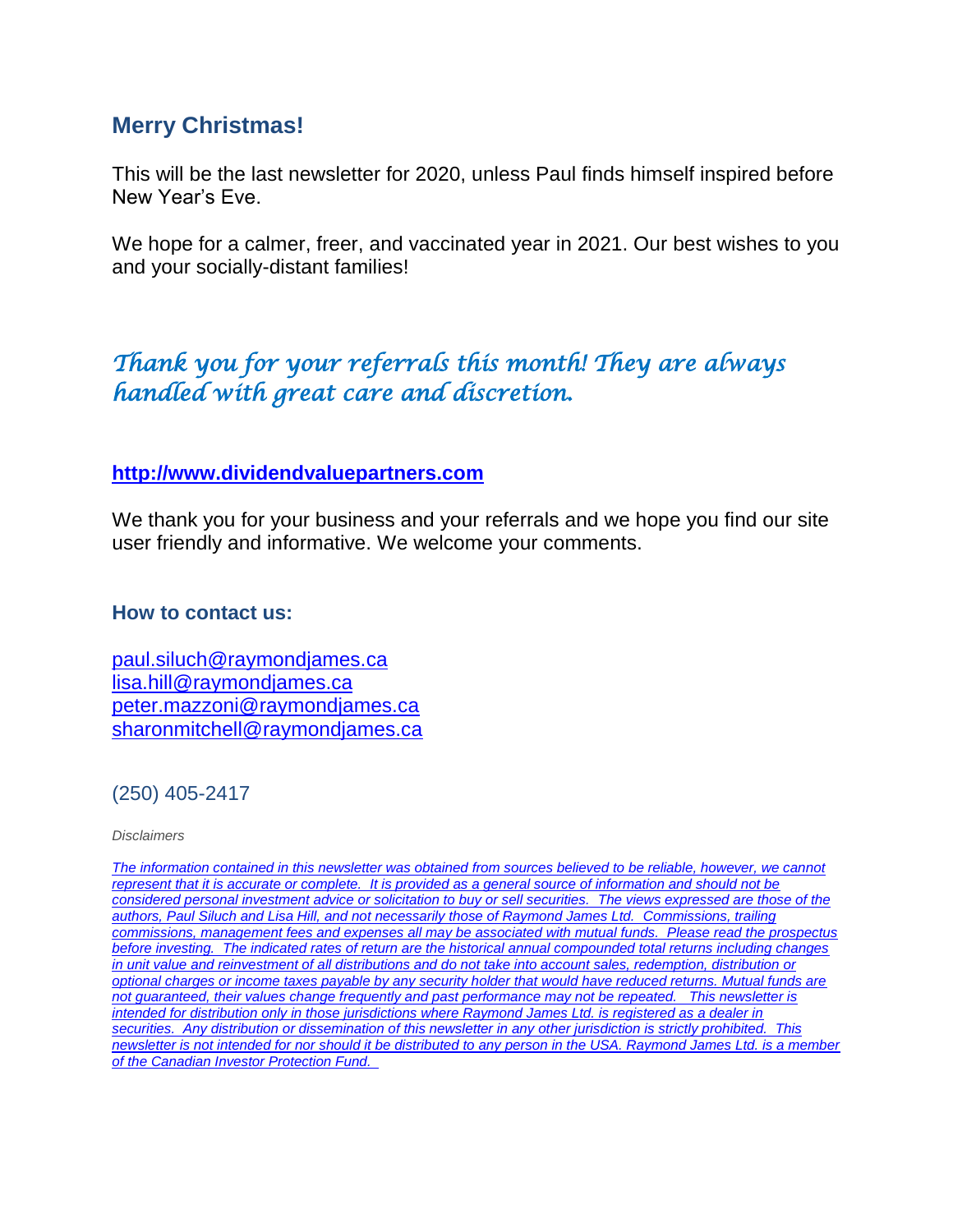#### **Merry Christmas!**

This will be the last newsletter for 2020, unless Paul finds himself inspired before New Year's Eve.

We hope for a calmer, freer, and vaccinated year in 2021. Our best wishes to you and your socially-distant families!

# *Thank you for your referrals this month! They are always handled with great care and discretion.*

#### **[http://www.dividendvaluepartners.com](https://eur04.safelinks.protection.outlook.com/?url=https%3A%2F%2Furldefense.proofpoint.com%2Fv2%2Furl%3Fu%3Dhttps-3A__nam11.safelinks.protection.outlook.com_-3Furl-3Dhttps-253A-252F-252Furldefense.proofpoint.com-252Fv2-252Furl-253Fu-253Dhttp-2D3A-5F-5Fwww.dividendvaluepartners.com-2526d-253DDwMFAw-2526c-253DK3dQCUGiI1B95NJ6cl3GoyhMW2dvBOfimZA-2D83UXll0-2526r-253D-5F6MBBSGYsFznIBwslhTiqBKEz4pHUCTd-5F9tbh-5FEpUMY-2526m-253DscBAtuMDuWZwK1IVr5YXjdB6aRS-2DfaGHAMq3jOn6sJU-2526s-253DenZqe4ZgcjH-5F33x5dT-2DvZq9A37d4AhNkXvjc6AbmYww-2526e-253D-26data-3D02-257C01-257C-257Cc172461ecbee4482512908d85e8192cf-257C84df9e7fe9f640afb435aaaaaaaaaaaa-257C1-257C0-257C637363258183615686-26sdata-3DewMvepveEmLgP7SL0jTlvLtATqW9IhbJ2C3UL0Em04c-253D-26reserved-3D0%26d%3DDwMF-g%26c%3DK3dQCUGiI1B95NJ6cl3GoyhMW2dvBOfimZA-83UXll0%26r%3D_6MBBSGYsFznIBwslhTiqBKEz4pHUCTd_9tbh_EpUMY%26m%3D7qOaEnVxLdGuCP74qXGTNk9xkBSFm8R3CYYmRfTv9PQ%26s%3DW8OEBAbaLee5suYwpNsPIikduscCx0SIuOWzAWRhAvc%26e%3D&data=02%7C01%7C%7C8a16eb9ab3cc4e585bab08d86b14e24b%7C84df9e7fe9f640afb435aaaaaaaaaaaa%7C1%7C0%7C637377085227534400&sdata=zzJlT4ayZo7AuSbfVFBCALNa%2FJqw6uhZi8Xlc7hQZtE%3D&reserved=0)**

We thank you for your business and your referrals and we hope you find our site user friendly and informative. We welcome your comments.

#### **How to contact us:**

[paul.siluch@raymondjames.ca](https://eur04.safelinks.protection.outlook.com/?url=https%3A%2F%2Furldefense.proofpoint.com%2Fv2%2Furl%3Fu%3Dhttps-3A__nam11.safelinks.protection.outlook.com_-3Furl-3Dhttps-253A-252F-252Fowa-2Dkel.raymondjames.ca-252Fowa-252Fredir.aspx-253FSURL-253Dz0BxOCXDlQ-2DAad1f-5Fa9igaARxm5Rd1VXE7UcmD4mZ3IZiacj7DPTCG0AYQBpAGwAdABvADoAcABhAHUAbAAuAHMAaQBsAHUAYwBoAEAAcgBhAHkAbQBvAG4AZABqAGEAbQBlAHMALgBjAGEA-2526URL-253Dmailto-25253apaul.siluch-252540raymondjames.ca-26data-3D02-257C01-257C-257Cc172461ecbee4482512908d85e8192cf-257C84df9e7fe9f640afb435aaaaaaaaaaaa-257C1-257C0-257C637363258183625679-26sdata-3DHJ7PtuamH3ey-252Bis0LQS7WLUtHpHoAnxnHrYxprmWKn4-253D-26reserved-3D0%26d%3DDwMF-g%26c%3DK3dQCUGiI1B95NJ6cl3GoyhMW2dvBOfimZA-83UXll0%26r%3D_6MBBSGYsFznIBwslhTiqBKEz4pHUCTd_9tbh_EpUMY%26m%3D7qOaEnVxLdGuCP74qXGTNk9xkBSFm8R3CYYmRfTv9PQ%26s%3DTKyIHrHn9jy3BGThbM3t6qa96Jt8NZSlnsJ21h5JIRM%26e%3D&data=02%7C01%7C%7C8a16eb9ab3cc4e585bab08d86b14e24b%7C84df9e7fe9f640afb435aaaaaaaaaaaa%7C1%7C0%7C637377085227544398&sdata=JNWyFZFoob4Jy6fPXmZiln9HSChMixeL83naEfwOpMM%3D&reserved=0) [lisa.hill@raymondjames.ca](https://eur04.safelinks.protection.outlook.com/?url=https%3A%2F%2Furldefense.proofpoint.com%2Fv2%2Furl%3Fu%3Dhttps-3A__nam11.safelinks.protection.outlook.com_-3Furl-3Dhttps-253A-252F-252Fowa-2Dkel.raymondjames.ca-252Fowa-252Fredir.aspx-253FSURL-253DglaBgdTdxPMFpiw4eumg-2DPzZXpo9vJyObrXLs1TKtIAZiacj7DPTCG0AYQBpAGwAdABvADoAbABpAHMAYQAuAGgAaQBsAGwAQAByAGEAeQBtAG8AbgBkAGoAYQBtAGUAcwAuAGMAYQA.-2526URL-253Dmailto-25253alisa.hill-252540raymondjames.ca-26data-3D02-257C01-257C-257Cc172461ecbee4482512908d85e8192cf-257C84df9e7fe9f640afb435aaaaaaaaaaaa-257C1-257C0-257C637363258183625679-26sdata-3DlqUdr0V-252Bbj4LaURrM2MSPIDvGfk5bLYx0U1BkRoTrH4-253D-26reserved-3D0%26d%3DDwMF-g%26c%3DK3dQCUGiI1B95NJ6cl3GoyhMW2dvBOfimZA-83UXll0%26r%3D_6MBBSGYsFznIBwslhTiqBKEz4pHUCTd_9tbh_EpUMY%26m%3D7qOaEnVxLdGuCP74qXGTNk9xkBSFm8R3CYYmRfTv9PQ%26s%3Dc8alCSC-b4YnoP6-1kuPw_KdDfdlIvu8oQ_wi3WtrQw%26e%3D&data=02%7C01%7C%7C8a16eb9ab3cc4e585bab08d86b14e24b%7C84df9e7fe9f640afb435aaaaaaaaaaaa%7C1%7C0%7C637377085227554394&sdata=JD%2BrCiopwCPkaqqVwSvi1mS1%2BcEvr2qDmRTjzzF4npk%3D&reserved=0) [peter.mazzoni@raymondjames.ca](https://eur04.safelinks.protection.outlook.com/?url=https%3A%2F%2Furldefense.proofpoint.com%2Fv2%2Furl%3Fu%3Dhttps-3A__nam11.safelinks.protection.outlook.com_-3Furl-3Dhttps-253A-252F-252Fowa-2Dkel.raymondjames.ca-252Fowa-252Fredir.aspx-253FSURL-253D3c7mDL9-2DcZxYXt7CvkOu20QVFy1WCaDQxUZ3BQE6vecZiacj7DPTCG0AYQBpAGwAdABvADoAcABlAHQAZQByAC4AbQBhAHoAegBvAG4AaQBAAHIAYQB5AG0AbwBuAGQAagBhAG0AZQBzAC4AYwBhAA..-2526URL-253Dmailto-25253apeter.mazzoni-252540raymondjames.ca-26data-3D02-257C01-257C-257Cc172461ecbee4482512908d85e8192cf-257C84df9e7fe9f640afb435aaaaaaaaaaaa-257C1-257C0-257C637363258183635674-26sdata-3D1suYGaoqcgH5k419ERrAlAGzpG-252BufP-252FAE-252FdOZxq8Cus-253D-26reserved-3D0%26d%3DDwMF-g%26c%3DK3dQCUGiI1B95NJ6cl3GoyhMW2dvBOfimZA-83UXll0%26r%3D_6MBBSGYsFznIBwslhTiqBKEz4pHUCTd_9tbh_EpUMY%26m%3D7qOaEnVxLdGuCP74qXGTNk9xkBSFm8R3CYYmRfTv9PQ%26s%3Dmwchq7c2WnuY-oLgiUBkMdFmrEXBtoSxe2YfSBkWXZU%26e%3D&data=02%7C01%7C%7C8a16eb9ab3cc4e585bab08d86b14e24b%7C84df9e7fe9f640afb435aaaaaaaaaaaa%7C1%7C0%7C637377085227564389&sdata=VGxXSMYaOoINFeTp9mK0bEQdNoeg7gewByIWz64OZjE%3D&reserved=0) [sharonmitchell@raymondjames.ca](mailto:sharonmitchell@raymondjames.ca)

(250) 405-2417

*Disclaimers*

*[The information contained in this newsletter was obtained from sources believed to be reliable, however, we cannot](https://eur04.safelinks.protection.outlook.com/?url=https%3A%2F%2Furldefense.proofpoint.com%2Fv2%2Furl%3Fu%3Dhttps-3A__nam11.safelinks.protection.outlook.com_-3Furl-3Dhttps-253A-252F-252Fowa-2Dkel.raymondjames.ca-252Fowa-252Fredir.aspx-253FSURL-253Dz0BxOCXDlQ-2DAad1f-5Fa9igaARxm5Rd1VXE7UcmD4mZ3IZiacj7DPTCG0AYQBpAGwAdABvADoAcABhAHUAbAAuAHMAaQBsAHUAYwBoAEAAcgBhAHkAbQBvAG4AZABqAGEAbQBlAHMALgBjAGEA-2526URL-253Dmailto-25253apaul.siluch-252540raymondjames.ca-26data-3D02-257C01-257C-257Cc172461ecbee4482512908d85e8192cf-257C84df9e7fe9f640afb435aaaaaaaaaaaa-257C1-257C0-257C637363258183635674-26sdata-3DYxnEd1j-252BPKZ7O-252BaYYWd4rEqnA-252FsZJqXh5i43hxevA-252Bk-253D-26reserved-3D0%26d%3DDwMF-g%26c%3DK3dQCUGiI1B95NJ6cl3GoyhMW2dvBOfimZA-83UXll0%26r%3D_6MBBSGYsFznIBwslhTiqBKEz4pHUCTd_9tbh_EpUMY%26m%3D7qOaEnVxLdGuCP74qXGTNk9xkBSFm8R3CYYmRfTv9PQ%26s%3DnStAVPWry0CYI3VlF6rPrM0m6uEmVBMWcLnjvw4FcOQ%26e%3D&data=02%7C01%7C%7C8a16eb9ab3cc4e585bab08d86b14e24b%7C84df9e7fe9f640afb435aaaaaaaaaaaa%7C1%7C0%7C637377085227564389&sdata=%2FLT3okCUEtYywPn6lfOt69zF22qRd1eEUeVCI%2FhVHyE%3D&reserved=0)  represent that it is accurate or complete. [It is provided as a general source of information and should not be](https://eur04.safelinks.protection.outlook.com/?url=https%3A%2F%2Furldefense.proofpoint.com%2Fv2%2Furl%3Fu%3Dhttps-3A__nam11.safelinks.protection.outlook.com_-3Furl-3Dhttps-253A-252F-252Fowa-2Dkel.raymondjames.ca-252Fowa-252Fredir.aspx-253FSURL-253Dz0BxOCXDlQ-2DAad1f-5Fa9igaARxm5Rd1VXE7UcmD4mZ3IZiacj7DPTCG0AYQBpAGwAdABvADoAcABhAHUAbAAuAHMAaQBsAHUAYwBoAEAAcgBhAHkAbQBvAG4AZABqAGEAbQBlAHMALgBjAGEA-2526URL-253Dmailto-25253apaul.siluch-252540raymondjames.ca-26data-3D02-257C01-257C-257Cc172461ecbee4482512908d85e8192cf-257C84df9e7fe9f640afb435aaaaaaaaaaaa-257C1-257C0-257C637363258183635674-26sdata-3DYxnEd1j-252BPKZ7O-252BaYYWd4rEqnA-252FsZJqXh5i43hxevA-252Bk-253D-26reserved-3D0%26d%3DDwMF-g%26c%3DK3dQCUGiI1B95NJ6cl3GoyhMW2dvBOfimZA-83UXll0%26r%3D_6MBBSGYsFznIBwslhTiqBKEz4pHUCTd_9tbh_EpUMY%26m%3D7qOaEnVxLdGuCP74qXGTNk9xkBSFm8R3CYYmRfTv9PQ%26s%3DnStAVPWry0CYI3VlF6rPrM0m6uEmVBMWcLnjvw4FcOQ%26e%3D&data=02%7C01%7C%7C8a16eb9ab3cc4e585bab08d86b14e24b%7C84df9e7fe9f640afb435aaaaaaaaaaaa%7C1%7C0%7C637377085227564389&sdata=%2FLT3okCUEtYywPn6lfOt69zF22qRd1eEUeVCI%2FhVHyE%3D&reserved=0)  [considered personal investment advice or solicitation to buy or sell securities.](https://eur04.safelinks.protection.outlook.com/?url=https%3A%2F%2Furldefense.proofpoint.com%2Fv2%2Furl%3Fu%3Dhttps-3A__nam11.safelinks.protection.outlook.com_-3Furl-3Dhttps-253A-252F-252Fowa-2Dkel.raymondjames.ca-252Fowa-252Fredir.aspx-253FSURL-253Dz0BxOCXDlQ-2DAad1f-5Fa9igaARxm5Rd1VXE7UcmD4mZ3IZiacj7DPTCG0AYQBpAGwAdABvADoAcABhAHUAbAAuAHMAaQBsAHUAYwBoAEAAcgBhAHkAbQBvAG4AZABqAGEAbQBlAHMALgBjAGEA-2526URL-253Dmailto-25253apaul.siluch-252540raymondjames.ca-26data-3D02-257C01-257C-257Cc172461ecbee4482512908d85e8192cf-257C84df9e7fe9f640afb435aaaaaaaaaaaa-257C1-257C0-257C637363258183635674-26sdata-3DYxnEd1j-252BPKZ7O-252BaYYWd4rEqnA-252FsZJqXh5i43hxevA-252Bk-253D-26reserved-3D0%26d%3DDwMF-g%26c%3DK3dQCUGiI1B95NJ6cl3GoyhMW2dvBOfimZA-83UXll0%26r%3D_6MBBSGYsFznIBwslhTiqBKEz4pHUCTd_9tbh_EpUMY%26m%3D7qOaEnVxLdGuCP74qXGTNk9xkBSFm8R3CYYmRfTv9PQ%26s%3DnStAVPWry0CYI3VlF6rPrM0m6uEmVBMWcLnjvw4FcOQ%26e%3D&data=02%7C01%7C%7C8a16eb9ab3cc4e585bab08d86b14e24b%7C84df9e7fe9f640afb435aaaaaaaaaaaa%7C1%7C0%7C637377085227564389&sdata=%2FLT3okCUEtYywPn6lfOt69zF22qRd1eEUeVCI%2FhVHyE%3D&reserved=0) The views expressed are those of the [authors, Paul Siluch and Lisa Hill, and not necessarily those of Raymond James Ltd.](https://eur04.safelinks.protection.outlook.com/?url=https%3A%2F%2Furldefense.proofpoint.com%2Fv2%2Furl%3Fu%3Dhttps-3A__nam11.safelinks.protection.outlook.com_-3Furl-3Dhttps-253A-252F-252Fowa-2Dkel.raymondjames.ca-252Fowa-252Fredir.aspx-253FSURL-253Dz0BxOCXDlQ-2DAad1f-5Fa9igaARxm5Rd1VXE7UcmD4mZ3IZiacj7DPTCG0AYQBpAGwAdABvADoAcABhAHUAbAAuAHMAaQBsAHUAYwBoAEAAcgBhAHkAbQBvAG4AZABqAGEAbQBlAHMALgBjAGEA-2526URL-253Dmailto-25253apaul.siluch-252540raymondjames.ca-26data-3D02-257C01-257C-257Cc172461ecbee4482512908d85e8192cf-257C84df9e7fe9f640afb435aaaaaaaaaaaa-257C1-257C0-257C637363258183635674-26sdata-3DYxnEd1j-252BPKZ7O-252BaYYWd4rEqnA-252FsZJqXh5i43hxevA-252Bk-253D-26reserved-3D0%26d%3DDwMF-g%26c%3DK3dQCUGiI1B95NJ6cl3GoyhMW2dvBOfimZA-83UXll0%26r%3D_6MBBSGYsFznIBwslhTiqBKEz4pHUCTd_9tbh_EpUMY%26m%3D7qOaEnVxLdGuCP74qXGTNk9xkBSFm8R3CYYmRfTv9PQ%26s%3DnStAVPWry0CYI3VlF6rPrM0m6uEmVBMWcLnjvw4FcOQ%26e%3D&data=02%7C01%7C%7C8a16eb9ab3cc4e585bab08d86b14e24b%7C84df9e7fe9f640afb435aaaaaaaaaaaa%7C1%7C0%7C637377085227564389&sdata=%2FLT3okCUEtYywPn6lfOt69zF22qRd1eEUeVCI%2FhVHyE%3D&reserved=0) Commissions, trailing [commissions, management fees and expenses all may be associated with mutual funds.](https://eur04.safelinks.protection.outlook.com/?url=https%3A%2F%2Furldefense.proofpoint.com%2Fv2%2Furl%3Fu%3Dhttps-3A__nam11.safelinks.protection.outlook.com_-3Furl-3Dhttps-253A-252F-252Fowa-2Dkel.raymondjames.ca-252Fowa-252Fredir.aspx-253FSURL-253Dz0BxOCXDlQ-2DAad1f-5Fa9igaARxm5Rd1VXE7UcmD4mZ3IZiacj7DPTCG0AYQBpAGwAdABvADoAcABhAHUAbAAuAHMAaQBsAHUAYwBoAEAAcgBhAHkAbQBvAG4AZABqAGEAbQBlAHMALgBjAGEA-2526URL-253Dmailto-25253apaul.siluch-252540raymondjames.ca-26data-3D02-257C01-257C-257Cc172461ecbee4482512908d85e8192cf-257C84df9e7fe9f640afb435aaaaaaaaaaaa-257C1-257C0-257C637363258183635674-26sdata-3DYxnEd1j-252BPKZ7O-252BaYYWd4rEqnA-252FsZJqXh5i43hxevA-252Bk-253D-26reserved-3D0%26d%3DDwMF-g%26c%3DK3dQCUGiI1B95NJ6cl3GoyhMW2dvBOfimZA-83UXll0%26r%3D_6MBBSGYsFznIBwslhTiqBKEz4pHUCTd_9tbh_EpUMY%26m%3D7qOaEnVxLdGuCP74qXGTNk9xkBSFm8R3CYYmRfTv9PQ%26s%3DnStAVPWry0CYI3VlF6rPrM0m6uEmVBMWcLnjvw4FcOQ%26e%3D&data=02%7C01%7C%7C8a16eb9ab3cc4e585bab08d86b14e24b%7C84df9e7fe9f640afb435aaaaaaaaaaaa%7C1%7C0%7C637377085227564389&sdata=%2FLT3okCUEtYywPn6lfOt69zF22qRd1eEUeVCI%2FhVHyE%3D&reserved=0) Please read the prospectus before investing. [The indicated rates of return are the historical annual compounded total returns including changes](https://eur04.safelinks.protection.outlook.com/?url=https%3A%2F%2Furldefense.proofpoint.com%2Fv2%2Furl%3Fu%3Dhttps-3A__nam11.safelinks.protection.outlook.com_-3Furl-3Dhttps-253A-252F-252Fowa-2Dkel.raymondjames.ca-252Fowa-252Fredir.aspx-253FSURL-253Dz0BxOCXDlQ-2DAad1f-5Fa9igaARxm5Rd1VXE7UcmD4mZ3IZiacj7DPTCG0AYQBpAGwAdABvADoAcABhAHUAbAAuAHMAaQBsAHUAYwBoAEAAcgBhAHkAbQBvAG4AZABqAGEAbQBlAHMALgBjAGEA-2526URL-253Dmailto-25253apaul.siluch-252540raymondjames.ca-26data-3D02-257C01-257C-257Cc172461ecbee4482512908d85e8192cf-257C84df9e7fe9f640afb435aaaaaaaaaaaa-257C1-257C0-257C637363258183635674-26sdata-3DYxnEd1j-252BPKZ7O-252BaYYWd4rEqnA-252FsZJqXh5i43hxevA-252Bk-253D-26reserved-3D0%26d%3DDwMF-g%26c%3DK3dQCUGiI1B95NJ6cl3GoyhMW2dvBOfimZA-83UXll0%26r%3D_6MBBSGYsFznIBwslhTiqBKEz4pHUCTd_9tbh_EpUMY%26m%3D7qOaEnVxLdGuCP74qXGTNk9xkBSFm8R3CYYmRfTv9PQ%26s%3DnStAVPWry0CYI3VlF6rPrM0m6uEmVBMWcLnjvw4FcOQ%26e%3D&data=02%7C01%7C%7C8a16eb9ab3cc4e585bab08d86b14e24b%7C84df9e7fe9f640afb435aaaaaaaaaaaa%7C1%7C0%7C637377085227564389&sdata=%2FLT3okCUEtYywPn6lfOt69zF22qRd1eEUeVCI%2FhVHyE%3D&reserved=0)  [in unit value and reinvestment of all distributions and do not take into account sales, redemption, distribution or](https://eur04.safelinks.protection.outlook.com/?url=https%3A%2F%2Furldefense.proofpoint.com%2Fv2%2Furl%3Fu%3Dhttps-3A__nam11.safelinks.protection.outlook.com_-3Furl-3Dhttps-253A-252F-252Fowa-2Dkel.raymondjames.ca-252Fowa-252Fredir.aspx-253FSURL-253Dz0BxOCXDlQ-2DAad1f-5Fa9igaARxm5Rd1VXE7UcmD4mZ3IZiacj7DPTCG0AYQBpAGwAdABvADoAcABhAHUAbAAuAHMAaQBsAHUAYwBoAEAAcgBhAHkAbQBvAG4AZABqAGEAbQBlAHMALgBjAGEA-2526URL-253Dmailto-25253apaul.siluch-252540raymondjames.ca-26data-3D02-257C01-257C-257Cc172461ecbee4482512908d85e8192cf-257C84df9e7fe9f640afb435aaaaaaaaaaaa-257C1-257C0-257C637363258183635674-26sdata-3DYxnEd1j-252BPKZ7O-252BaYYWd4rEqnA-252FsZJqXh5i43hxevA-252Bk-253D-26reserved-3D0%26d%3DDwMF-g%26c%3DK3dQCUGiI1B95NJ6cl3GoyhMW2dvBOfimZA-83UXll0%26r%3D_6MBBSGYsFznIBwslhTiqBKEz4pHUCTd_9tbh_EpUMY%26m%3D7qOaEnVxLdGuCP74qXGTNk9xkBSFm8R3CYYmRfTv9PQ%26s%3DnStAVPWry0CYI3VlF6rPrM0m6uEmVBMWcLnjvw4FcOQ%26e%3D&data=02%7C01%7C%7C8a16eb9ab3cc4e585bab08d86b14e24b%7C84df9e7fe9f640afb435aaaaaaaaaaaa%7C1%7C0%7C637377085227564389&sdata=%2FLT3okCUEtYywPn6lfOt69zF22qRd1eEUeVCI%2FhVHyE%3D&reserved=0)  [optional charges or income taxes payable by any security holder that would have reduced returns. Mutual funds are](https://eur04.safelinks.protection.outlook.com/?url=https%3A%2F%2Furldefense.proofpoint.com%2Fv2%2Furl%3Fu%3Dhttps-3A__nam11.safelinks.protection.outlook.com_-3Furl-3Dhttps-253A-252F-252Fowa-2Dkel.raymondjames.ca-252Fowa-252Fredir.aspx-253FSURL-253Dz0BxOCXDlQ-2DAad1f-5Fa9igaARxm5Rd1VXE7UcmD4mZ3IZiacj7DPTCG0AYQBpAGwAdABvADoAcABhAHUAbAAuAHMAaQBsAHUAYwBoAEAAcgBhAHkAbQBvAG4AZABqAGEAbQBlAHMALgBjAGEA-2526URL-253Dmailto-25253apaul.siluch-252540raymondjames.ca-26data-3D02-257C01-257C-257Cc172461ecbee4482512908d85e8192cf-257C84df9e7fe9f640afb435aaaaaaaaaaaa-257C1-257C0-257C637363258183635674-26sdata-3DYxnEd1j-252BPKZ7O-252BaYYWd4rEqnA-252FsZJqXh5i43hxevA-252Bk-253D-26reserved-3D0%26d%3DDwMF-g%26c%3DK3dQCUGiI1B95NJ6cl3GoyhMW2dvBOfimZA-83UXll0%26r%3D_6MBBSGYsFznIBwslhTiqBKEz4pHUCTd_9tbh_EpUMY%26m%3D7qOaEnVxLdGuCP74qXGTNk9xkBSFm8R3CYYmRfTv9PQ%26s%3DnStAVPWry0CYI3VlF6rPrM0m6uEmVBMWcLnjvw4FcOQ%26e%3D&data=02%7C01%7C%7C8a16eb9ab3cc4e585bab08d86b14e24b%7C84df9e7fe9f640afb435aaaaaaaaaaaa%7C1%7C0%7C637377085227564389&sdata=%2FLT3okCUEtYywPn6lfOt69zF22qRd1eEUeVCI%2FhVHyE%3D&reserved=0)  [not guaranteed, their values change frequently and past performance may not be repeated.](https://eur04.safelinks.protection.outlook.com/?url=https%3A%2F%2Furldefense.proofpoint.com%2Fv2%2Furl%3Fu%3Dhttps-3A__nam11.safelinks.protection.outlook.com_-3Furl-3Dhttps-253A-252F-252Fowa-2Dkel.raymondjames.ca-252Fowa-252Fredir.aspx-253FSURL-253Dz0BxOCXDlQ-2DAad1f-5Fa9igaARxm5Rd1VXE7UcmD4mZ3IZiacj7DPTCG0AYQBpAGwAdABvADoAcABhAHUAbAAuAHMAaQBsAHUAYwBoAEAAcgBhAHkAbQBvAG4AZABqAGEAbQBlAHMALgBjAGEA-2526URL-253Dmailto-25253apaul.siluch-252540raymondjames.ca-26data-3D02-257C01-257C-257Cc172461ecbee4482512908d85e8192cf-257C84df9e7fe9f640afb435aaaaaaaaaaaa-257C1-257C0-257C637363258183635674-26sdata-3DYxnEd1j-252BPKZ7O-252BaYYWd4rEqnA-252FsZJqXh5i43hxevA-252Bk-253D-26reserved-3D0%26d%3DDwMF-g%26c%3DK3dQCUGiI1B95NJ6cl3GoyhMW2dvBOfimZA-83UXll0%26r%3D_6MBBSGYsFznIBwslhTiqBKEz4pHUCTd_9tbh_EpUMY%26m%3D7qOaEnVxLdGuCP74qXGTNk9xkBSFm8R3CYYmRfTv9PQ%26s%3DnStAVPWry0CYI3VlF6rPrM0m6uEmVBMWcLnjvw4FcOQ%26e%3D&data=02%7C01%7C%7C8a16eb9ab3cc4e585bab08d86b14e24b%7C84df9e7fe9f640afb435aaaaaaaaaaaa%7C1%7C0%7C637377085227564389&sdata=%2FLT3okCUEtYywPn6lfOt69zF22qRd1eEUeVCI%2FhVHyE%3D&reserved=0) This newsletter is [intended for distribution only in those jurisdictions where Raymond James Ltd. is registered as a dealer in](https://eur04.safelinks.protection.outlook.com/?url=https%3A%2F%2Furldefense.proofpoint.com%2Fv2%2Furl%3Fu%3Dhttps-3A__nam11.safelinks.protection.outlook.com_-3Furl-3Dhttps-253A-252F-252Fowa-2Dkel.raymondjames.ca-252Fowa-252Fredir.aspx-253FSURL-253Dz0BxOCXDlQ-2DAad1f-5Fa9igaARxm5Rd1VXE7UcmD4mZ3IZiacj7DPTCG0AYQBpAGwAdABvADoAcABhAHUAbAAuAHMAaQBsAHUAYwBoAEAAcgBhAHkAbQBvAG4AZABqAGEAbQBlAHMALgBjAGEA-2526URL-253Dmailto-25253apaul.siluch-252540raymondjames.ca-26data-3D02-257C01-257C-257Cc172461ecbee4482512908d85e8192cf-257C84df9e7fe9f640afb435aaaaaaaaaaaa-257C1-257C0-257C637363258183635674-26sdata-3DYxnEd1j-252BPKZ7O-252BaYYWd4rEqnA-252FsZJqXh5i43hxevA-252Bk-253D-26reserved-3D0%26d%3DDwMF-g%26c%3DK3dQCUGiI1B95NJ6cl3GoyhMW2dvBOfimZA-83UXll0%26r%3D_6MBBSGYsFznIBwslhTiqBKEz4pHUCTd_9tbh_EpUMY%26m%3D7qOaEnVxLdGuCP74qXGTNk9xkBSFm8R3CYYmRfTv9PQ%26s%3DnStAVPWry0CYI3VlF6rPrM0m6uEmVBMWcLnjvw4FcOQ%26e%3D&data=02%7C01%7C%7C8a16eb9ab3cc4e585bab08d86b14e24b%7C84df9e7fe9f640afb435aaaaaaaaaaaa%7C1%7C0%7C637377085227564389&sdata=%2FLT3okCUEtYywPn6lfOt69zF22qRd1eEUeVCI%2FhVHyE%3D&reserved=0)  securities. [Any distribution or dissemination of this newsletter in any other jurisdiction is strictly prohibited.](https://eur04.safelinks.protection.outlook.com/?url=https%3A%2F%2Furldefense.proofpoint.com%2Fv2%2Furl%3Fu%3Dhttps-3A__nam11.safelinks.protection.outlook.com_-3Furl-3Dhttps-253A-252F-252Fowa-2Dkel.raymondjames.ca-252Fowa-252Fredir.aspx-253FSURL-253Dz0BxOCXDlQ-2DAad1f-5Fa9igaARxm5Rd1VXE7UcmD4mZ3IZiacj7DPTCG0AYQBpAGwAdABvADoAcABhAHUAbAAuAHMAaQBsAHUAYwBoAEAAcgBhAHkAbQBvAG4AZABqAGEAbQBlAHMALgBjAGEA-2526URL-253Dmailto-25253apaul.siluch-252540raymondjames.ca-26data-3D02-257C01-257C-257Cc172461ecbee4482512908d85e8192cf-257C84df9e7fe9f640afb435aaaaaaaaaaaa-257C1-257C0-257C637363258183635674-26sdata-3DYxnEd1j-252BPKZ7O-252BaYYWd4rEqnA-252FsZJqXh5i43hxevA-252Bk-253D-26reserved-3D0%26d%3DDwMF-g%26c%3DK3dQCUGiI1B95NJ6cl3GoyhMW2dvBOfimZA-83UXll0%26r%3D_6MBBSGYsFznIBwslhTiqBKEz4pHUCTd_9tbh_EpUMY%26m%3D7qOaEnVxLdGuCP74qXGTNk9xkBSFm8R3CYYmRfTv9PQ%26s%3DnStAVPWry0CYI3VlF6rPrM0m6uEmVBMWcLnjvw4FcOQ%26e%3D&data=02%7C01%7C%7C8a16eb9ab3cc4e585bab08d86b14e24b%7C84df9e7fe9f640afb435aaaaaaaaaaaa%7C1%7C0%7C637377085227564389&sdata=%2FLT3okCUEtYywPn6lfOt69zF22qRd1eEUeVCI%2FhVHyE%3D&reserved=0) This newsletter is not intended for nor should it be distributed to any person in the USA. Raymond James Ltd. is a member [of the Canadian Investor Protection Fund.](https://eur04.safelinks.protection.outlook.com/?url=https%3A%2F%2Furldefense.proofpoint.com%2Fv2%2Furl%3Fu%3Dhttps-3A__nam11.safelinks.protection.outlook.com_-3Furl-3Dhttps-253A-252F-252Fowa-2Dkel.raymondjames.ca-252Fowa-252Fredir.aspx-253FSURL-253Dz0BxOCXDlQ-2DAad1f-5Fa9igaARxm5Rd1VXE7UcmD4mZ3IZiacj7DPTCG0AYQBpAGwAdABvADoAcABhAHUAbAAuAHMAaQBsAHUAYwBoAEAAcgBhAHkAbQBvAG4AZABqAGEAbQBlAHMALgBjAGEA-2526URL-253Dmailto-25253apaul.siluch-252540raymondjames.ca-26data-3D02-257C01-257C-257Cc172461ecbee4482512908d85e8192cf-257C84df9e7fe9f640afb435aaaaaaaaaaaa-257C1-257C0-257C637363258183635674-26sdata-3DYxnEd1j-252BPKZ7O-252BaYYWd4rEqnA-252FsZJqXh5i43hxevA-252Bk-253D-26reserved-3D0%26d%3DDwMF-g%26c%3DK3dQCUGiI1B95NJ6cl3GoyhMW2dvBOfimZA-83UXll0%26r%3D_6MBBSGYsFznIBwslhTiqBKEz4pHUCTd_9tbh_EpUMY%26m%3D7qOaEnVxLdGuCP74qXGTNk9xkBSFm8R3CYYmRfTv9PQ%26s%3DnStAVPWry0CYI3VlF6rPrM0m6uEmVBMWcLnjvw4FcOQ%26e%3D&data=02%7C01%7C%7C8a16eb9ab3cc4e585bab08d86b14e24b%7C84df9e7fe9f640afb435aaaaaaaaaaaa%7C1%7C0%7C637377085227564389&sdata=%2FLT3okCUEtYywPn6lfOt69zF22qRd1eEUeVCI%2FhVHyE%3D&reserved=0)*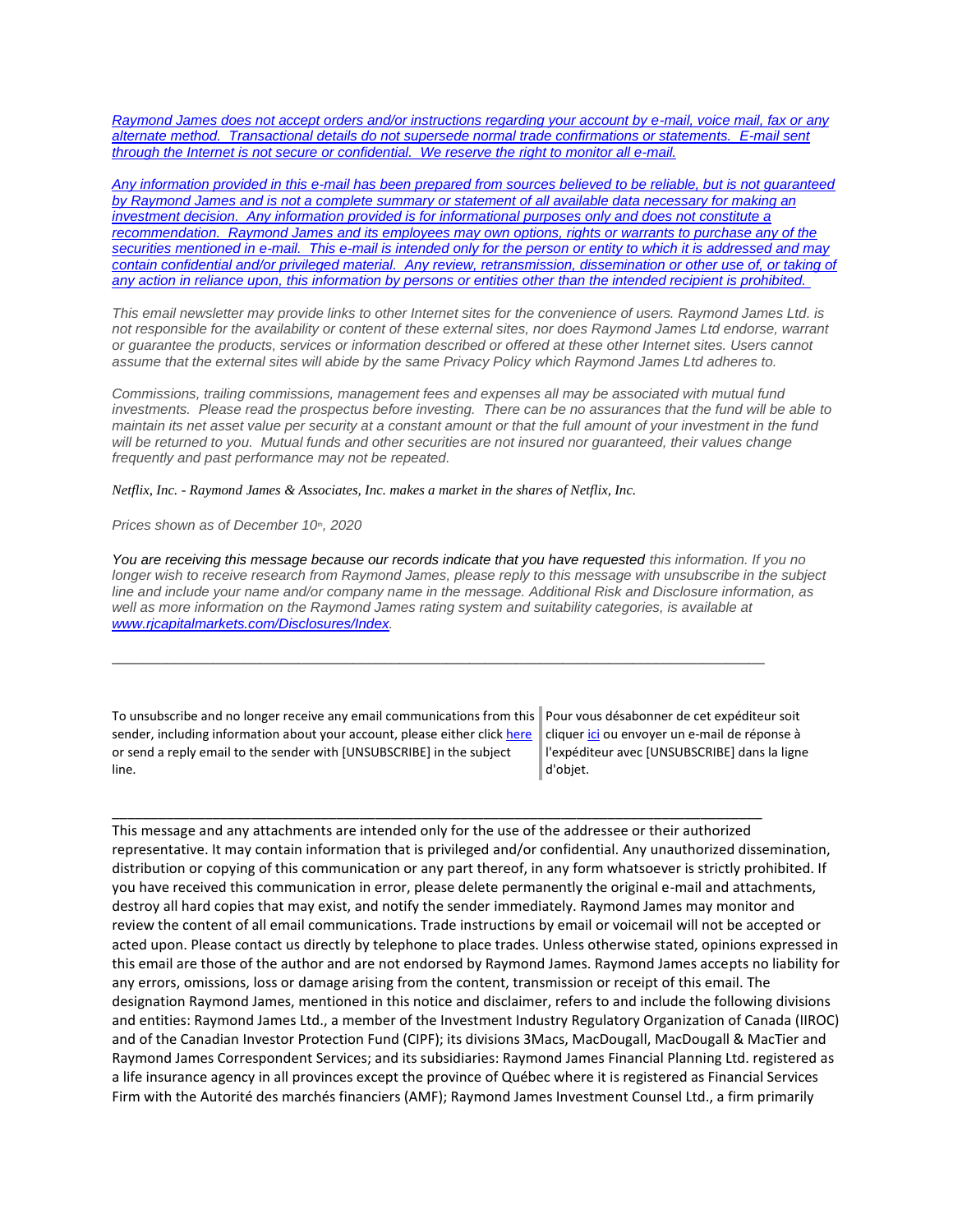*Raymond James [does not accept orders and/or instructions regarding your account by e-mail, voice mail, fax or any](https://eur04.safelinks.protection.outlook.com/?url=https%3A%2F%2Furldefense.proofpoint.com%2Fv2%2Furl%3Fu%3Dhttps-3A__nam11.safelinks.protection.outlook.com_-3Furl-3Dhttps-253A-252F-252Fowa-2Dkel.raymondjames.ca-252Fowa-252Fredir.aspx-253FSURL-253Dz0BxOCXDlQ-2DAad1f-5Fa9igaARxm5Rd1VXE7UcmD4mZ3IZiacj7DPTCG0AYQBpAGwAdABvADoAcABhAHUAbAAuAHMAaQBsAHUAYwBoAEAAcgBhAHkAbQBvAG4AZABqAGEAbQBlAHMALgBjAGEA-2526URL-253Dmailto-25253apaul.siluch-252540raymondjames.ca-26data-3D02-257C01-257C-257Cc172461ecbee4482512908d85e8192cf-257C84df9e7fe9f640afb435aaaaaaaaaaaa-257C1-257C0-257C637363258183645669-26sdata-3DjKvjWtH2krR43u3J3z5Cv9nHD0QMiBAUf4SY0jMfuYE-253D-26reserved-3D0%26d%3DDwMF-g%26c%3DK3dQCUGiI1B95NJ6cl3GoyhMW2dvBOfimZA-83UXll0%26r%3D_6MBBSGYsFznIBwslhTiqBKEz4pHUCTd_9tbh_EpUMY%26m%3D7qOaEnVxLdGuCP74qXGTNk9xkBSFm8R3CYYmRfTv9PQ%26s%3Dm8uHgNiRKEtIPVRoT8MsE-O97e6Q7JVm8rnhQdyv494%26e%3D&data=02%7C01%7C%7C8a16eb9ab3cc4e585bab08d86b14e24b%7C84df9e7fe9f640afb435aaaaaaaaaaaa%7C1%7C0%7C637377085227574385&sdata=Ho7sOwUmuuXXUdRweJZXqUUcFhlxC%2FMAZbbIsskkx1g%3D&reserved=0)  alternate method. [Transactional details do not supersede normal trade confirmations or statements.](https://eur04.safelinks.protection.outlook.com/?url=https%3A%2F%2Furldefense.proofpoint.com%2Fv2%2Furl%3Fu%3Dhttps-3A__nam11.safelinks.protection.outlook.com_-3Furl-3Dhttps-253A-252F-252Fowa-2Dkel.raymondjames.ca-252Fowa-252Fredir.aspx-253FSURL-253Dz0BxOCXDlQ-2DAad1f-5Fa9igaARxm5Rd1VXE7UcmD4mZ3IZiacj7DPTCG0AYQBpAGwAdABvADoAcABhAHUAbAAuAHMAaQBsAHUAYwBoAEAAcgBhAHkAbQBvAG4AZABqAGEAbQBlAHMALgBjAGEA-2526URL-253Dmailto-25253apaul.siluch-252540raymondjames.ca-26data-3D02-257C01-257C-257Cc172461ecbee4482512908d85e8192cf-257C84df9e7fe9f640afb435aaaaaaaaaaaa-257C1-257C0-257C637363258183645669-26sdata-3DjKvjWtH2krR43u3J3z5Cv9nHD0QMiBAUf4SY0jMfuYE-253D-26reserved-3D0%26d%3DDwMF-g%26c%3DK3dQCUGiI1B95NJ6cl3GoyhMW2dvBOfimZA-83UXll0%26r%3D_6MBBSGYsFznIBwslhTiqBKEz4pHUCTd_9tbh_EpUMY%26m%3D7qOaEnVxLdGuCP74qXGTNk9xkBSFm8R3CYYmRfTv9PQ%26s%3Dm8uHgNiRKEtIPVRoT8MsE-O97e6Q7JVm8rnhQdyv494%26e%3D&data=02%7C01%7C%7C8a16eb9ab3cc4e585bab08d86b14e24b%7C84df9e7fe9f640afb435aaaaaaaaaaaa%7C1%7C0%7C637377085227574385&sdata=Ho7sOwUmuuXXUdRweJZXqUUcFhlxC%2FMAZbbIsskkx1g%3D&reserved=0) E-mail sent [through the Internet is not secure or confidential.](https://eur04.safelinks.protection.outlook.com/?url=https%3A%2F%2Furldefense.proofpoint.com%2Fv2%2Furl%3Fu%3Dhttps-3A__nam11.safelinks.protection.outlook.com_-3Furl-3Dhttps-253A-252F-252Fowa-2Dkel.raymondjames.ca-252Fowa-252Fredir.aspx-253FSURL-253Dz0BxOCXDlQ-2DAad1f-5Fa9igaARxm5Rd1VXE7UcmD4mZ3IZiacj7DPTCG0AYQBpAGwAdABvADoAcABhAHUAbAAuAHMAaQBsAHUAYwBoAEAAcgBhAHkAbQBvAG4AZABqAGEAbQBlAHMALgBjAGEA-2526URL-253Dmailto-25253apaul.siluch-252540raymondjames.ca-26data-3D02-257C01-257C-257Cc172461ecbee4482512908d85e8192cf-257C84df9e7fe9f640afb435aaaaaaaaaaaa-257C1-257C0-257C637363258183645669-26sdata-3DjKvjWtH2krR43u3J3z5Cv9nHD0QMiBAUf4SY0jMfuYE-253D-26reserved-3D0%26d%3DDwMF-g%26c%3DK3dQCUGiI1B95NJ6cl3GoyhMW2dvBOfimZA-83UXll0%26r%3D_6MBBSGYsFznIBwslhTiqBKEz4pHUCTd_9tbh_EpUMY%26m%3D7qOaEnVxLdGuCP74qXGTNk9xkBSFm8R3CYYmRfTv9PQ%26s%3Dm8uHgNiRKEtIPVRoT8MsE-O97e6Q7JVm8rnhQdyv494%26e%3D&data=02%7C01%7C%7C8a16eb9ab3cc4e585bab08d86b14e24b%7C84df9e7fe9f640afb435aaaaaaaaaaaa%7C1%7C0%7C637377085227574385&sdata=Ho7sOwUmuuXXUdRweJZXqUUcFhlxC%2FMAZbbIsskkx1g%3D&reserved=0) We reserve the right to monitor all e-mail.*

*[Any information provided in this e-mail has been prepared from sources believed to be reliable, but is not guaranteed](https://eur04.safelinks.protection.outlook.com/?url=https%3A%2F%2Furldefense.proofpoint.com%2Fv2%2Furl%3Fu%3Dhttps-3A__nam11.safelinks.protection.outlook.com_-3Furl-3Dhttps-253A-252F-252Fowa-2Dkel.raymondjames.ca-252Fowa-252Fredir.aspx-253FSURL-253Dz0BxOCXDlQ-2DAad1f-5Fa9igaARxm5Rd1VXE7UcmD4mZ3IZiacj7DPTCG0AYQBpAGwAdABvADoAcABhAHUAbAAuAHMAaQBsAHUAYwBoAEAAcgBhAHkAbQBvAG4AZABqAGEAbQBlAHMALgBjAGEA-2526URL-253Dmailto-25253apaul.siluch-252540raymondjames.ca-26data-3D02-257C01-257C-257Cc172461ecbee4482512908d85e8192cf-257C84df9e7fe9f640afb435aaaaaaaaaaaa-257C1-257C0-257C637363258183645669-26sdata-3DjKvjWtH2krR43u3J3z5Cv9nHD0QMiBAUf4SY0jMfuYE-253D-26reserved-3D0%26d%3DDwMF-g%26c%3DK3dQCUGiI1B95NJ6cl3GoyhMW2dvBOfimZA-83UXll0%26r%3D_6MBBSGYsFznIBwslhTiqBKEz4pHUCTd_9tbh_EpUMY%26m%3D7qOaEnVxLdGuCP74qXGTNk9xkBSFm8R3CYYmRfTv9PQ%26s%3Dm8uHgNiRKEtIPVRoT8MsE-O97e6Q7JVm8rnhQdyv494%26e%3D&data=02%7C01%7C%7C8a16eb9ab3cc4e585bab08d86b14e24b%7C84df9e7fe9f640afb435aaaaaaaaaaaa%7C1%7C0%7C637377085227584381&sdata=zi7yMW%2BurXrnBH6EQwZL8ErwbT7N5rpqRg9vUu%2BWY0o%3D&reserved=0)  by Raymond James [and is not a complete summary or statement of all available data necessary for making an](https://eur04.safelinks.protection.outlook.com/?url=https%3A%2F%2Furldefense.proofpoint.com%2Fv2%2Furl%3Fu%3Dhttps-3A__nam11.safelinks.protection.outlook.com_-3Furl-3Dhttps-253A-252F-252Fowa-2Dkel.raymondjames.ca-252Fowa-252Fredir.aspx-253FSURL-253Dz0BxOCXDlQ-2DAad1f-5Fa9igaARxm5Rd1VXE7UcmD4mZ3IZiacj7DPTCG0AYQBpAGwAdABvADoAcABhAHUAbAAuAHMAaQBsAHUAYwBoAEAAcgBhAHkAbQBvAG4AZABqAGEAbQBlAHMALgBjAGEA-2526URL-253Dmailto-25253apaul.siluch-252540raymondjames.ca-26data-3D02-257C01-257C-257Cc172461ecbee4482512908d85e8192cf-257C84df9e7fe9f640afb435aaaaaaaaaaaa-257C1-257C0-257C637363258183645669-26sdata-3DjKvjWtH2krR43u3J3z5Cv9nHD0QMiBAUf4SY0jMfuYE-253D-26reserved-3D0%26d%3DDwMF-g%26c%3DK3dQCUGiI1B95NJ6cl3GoyhMW2dvBOfimZA-83UXll0%26r%3D_6MBBSGYsFznIBwslhTiqBKEz4pHUCTd_9tbh_EpUMY%26m%3D7qOaEnVxLdGuCP74qXGTNk9xkBSFm8R3CYYmRfTv9PQ%26s%3Dm8uHgNiRKEtIPVRoT8MsE-O97e6Q7JVm8rnhQdyv494%26e%3D&data=02%7C01%7C%7C8a16eb9ab3cc4e585bab08d86b14e24b%7C84df9e7fe9f640afb435aaaaaaaaaaaa%7C1%7C0%7C637377085227584381&sdata=zi7yMW%2BurXrnBH6EQwZL8ErwbT7N5rpqRg9vUu%2BWY0o%3D&reserved=0)  investment decision. [Any information provided is for informational purposes only and does not constitute a](https://eur04.safelinks.protection.outlook.com/?url=https%3A%2F%2Furldefense.proofpoint.com%2Fv2%2Furl%3Fu%3Dhttps-3A__nam11.safelinks.protection.outlook.com_-3Furl-3Dhttps-253A-252F-252Fowa-2Dkel.raymondjames.ca-252Fowa-252Fredir.aspx-253FSURL-253Dz0BxOCXDlQ-2DAad1f-5Fa9igaARxm5Rd1VXE7UcmD4mZ3IZiacj7DPTCG0AYQBpAGwAdABvADoAcABhAHUAbAAuAHMAaQBsAHUAYwBoAEAAcgBhAHkAbQBvAG4AZABqAGEAbQBlAHMALgBjAGEA-2526URL-253Dmailto-25253apaul.siluch-252540raymondjames.ca-26data-3D02-257C01-257C-257Cc172461ecbee4482512908d85e8192cf-257C84df9e7fe9f640afb435aaaaaaaaaaaa-257C1-257C0-257C637363258183645669-26sdata-3DjKvjWtH2krR43u3J3z5Cv9nHD0QMiBAUf4SY0jMfuYE-253D-26reserved-3D0%26d%3DDwMF-g%26c%3DK3dQCUGiI1B95NJ6cl3GoyhMW2dvBOfimZA-83UXll0%26r%3D_6MBBSGYsFznIBwslhTiqBKEz4pHUCTd_9tbh_EpUMY%26m%3D7qOaEnVxLdGuCP74qXGTNk9xkBSFm8R3CYYmRfTv9PQ%26s%3Dm8uHgNiRKEtIPVRoT8MsE-O97e6Q7JVm8rnhQdyv494%26e%3D&data=02%7C01%7C%7C8a16eb9ab3cc4e585bab08d86b14e24b%7C84df9e7fe9f640afb435aaaaaaaaaaaa%7C1%7C0%7C637377085227584381&sdata=zi7yMW%2BurXrnBH6EQwZL8ErwbT7N5rpqRg9vUu%2BWY0o%3D&reserved=0)  recommendation. Raymond James [and its employees may own options, rights or warrants to purchase any of the](https://eur04.safelinks.protection.outlook.com/?url=https%3A%2F%2Furldefense.proofpoint.com%2Fv2%2Furl%3Fu%3Dhttps-3A__nam11.safelinks.protection.outlook.com_-3Furl-3Dhttps-253A-252F-252Fowa-2Dkel.raymondjames.ca-252Fowa-252Fredir.aspx-253FSURL-253Dz0BxOCXDlQ-2DAad1f-5Fa9igaARxm5Rd1VXE7UcmD4mZ3IZiacj7DPTCG0AYQBpAGwAdABvADoAcABhAHUAbAAuAHMAaQBsAHUAYwBoAEAAcgBhAHkAbQBvAG4AZABqAGEAbQBlAHMALgBjAGEA-2526URL-253Dmailto-25253apaul.siluch-252540raymondjames.ca-26data-3D02-257C01-257C-257Cc172461ecbee4482512908d85e8192cf-257C84df9e7fe9f640afb435aaaaaaaaaaaa-257C1-257C0-257C637363258183645669-26sdata-3DjKvjWtH2krR43u3J3z5Cv9nHD0QMiBAUf4SY0jMfuYE-253D-26reserved-3D0%26d%3DDwMF-g%26c%3DK3dQCUGiI1B95NJ6cl3GoyhMW2dvBOfimZA-83UXll0%26r%3D_6MBBSGYsFznIBwslhTiqBKEz4pHUCTd_9tbh_EpUMY%26m%3D7qOaEnVxLdGuCP74qXGTNk9xkBSFm8R3CYYmRfTv9PQ%26s%3Dm8uHgNiRKEtIPVRoT8MsE-O97e6Q7JVm8rnhQdyv494%26e%3D&data=02%7C01%7C%7C8a16eb9ab3cc4e585bab08d86b14e24b%7C84df9e7fe9f640afb435aaaaaaaaaaaa%7C1%7C0%7C637377085227584381&sdata=zi7yMW%2BurXrnBH6EQwZL8ErwbT7N5rpqRg9vUu%2BWY0o%3D&reserved=0)  securities mentioned in e-mail. [This e-mail is intended only for the person or entity to which it is addressed and may](https://eur04.safelinks.protection.outlook.com/?url=https%3A%2F%2Furldefense.proofpoint.com%2Fv2%2Furl%3Fu%3Dhttps-3A__nam11.safelinks.protection.outlook.com_-3Furl-3Dhttps-253A-252F-252Fowa-2Dkel.raymondjames.ca-252Fowa-252Fredir.aspx-253FSURL-253Dz0BxOCXDlQ-2DAad1f-5Fa9igaARxm5Rd1VXE7UcmD4mZ3IZiacj7DPTCG0AYQBpAGwAdABvADoAcABhAHUAbAAuAHMAaQBsAHUAYwBoAEAAcgBhAHkAbQBvAG4AZABqAGEAbQBlAHMALgBjAGEA-2526URL-253Dmailto-25253apaul.siluch-252540raymondjames.ca-26data-3D02-257C01-257C-257Cc172461ecbee4482512908d85e8192cf-257C84df9e7fe9f640afb435aaaaaaaaaaaa-257C1-257C0-257C637363258183645669-26sdata-3DjKvjWtH2krR43u3J3z5Cv9nHD0QMiBAUf4SY0jMfuYE-253D-26reserved-3D0%26d%3DDwMF-g%26c%3DK3dQCUGiI1B95NJ6cl3GoyhMW2dvBOfimZA-83UXll0%26r%3D_6MBBSGYsFznIBwslhTiqBKEz4pHUCTd_9tbh_EpUMY%26m%3D7qOaEnVxLdGuCP74qXGTNk9xkBSFm8R3CYYmRfTv9PQ%26s%3Dm8uHgNiRKEtIPVRoT8MsE-O97e6Q7JVm8rnhQdyv494%26e%3D&data=02%7C01%7C%7C8a16eb9ab3cc4e585bab08d86b14e24b%7C84df9e7fe9f640afb435aaaaaaaaaaaa%7C1%7C0%7C637377085227584381&sdata=zi7yMW%2BurXrnBH6EQwZL8ErwbT7N5rpqRg9vUu%2BWY0o%3D&reserved=0)*  contain confidential and/or privileged material. Any review, retransmission, dissemination or other use of, or taking of *[any action in reliance upon, this information by persons or entities other than the intended recipient is prohibited.](https://eur04.safelinks.protection.outlook.com/?url=https%3A%2F%2Furldefense.proofpoint.com%2Fv2%2Furl%3Fu%3Dhttps-3A__nam11.safelinks.protection.outlook.com_-3Furl-3Dhttps-253A-252F-252Fowa-2Dkel.raymondjames.ca-252Fowa-252Fredir.aspx-253FSURL-253Dz0BxOCXDlQ-2DAad1f-5Fa9igaARxm5Rd1VXE7UcmD4mZ3IZiacj7DPTCG0AYQBpAGwAdABvADoAcABhAHUAbAAuAHMAaQBsAHUAYwBoAEAAcgBhAHkAbQBvAG4AZABqAGEAbQBlAHMALgBjAGEA-2526URL-253Dmailto-25253apaul.siluch-252540raymondjames.ca-26data-3D02-257C01-257C-257Cc172461ecbee4482512908d85e8192cf-257C84df9e7fe9f640afb435aaaaaaaaaaaa-257C1-257C0-257C637363258183645669-26sdata-3DjKvjWtH2krR43u3J3z5Cv9nHD0QMiBAUf4SY0jMfuYE-253D-26reserved-3D0%26d%3DDwMF-g%26c%3DK3dQCUGiI1B95NJ6cl3GoyhMW2dvBOfimZA-83UXll0%26r%3D_6MBBSGYsFznIBwslhTiqBKEz4pHUCTd_9tbh_EpUMY%26m%3D7qOaEnVxLdGuCP74qXGTNk9xkBSFm8R3CYYmRfTv9PQ%26s%3Dm8uHgNiRKEtIPVRoT8MsE-O97e6Q7JVm8rnhQdyv494%26e%3D&data=02%7C01%7C%7C8a16eb9ab3cc4e585bab08d86b14e24b%7C84df9e7fe9f640afb435aaaaaaaaaaaa%7C1%7C0%7C637377085227584381&sdata=zi7yMW%2BurXrnBH6EQwZL8ErwbT7N5rpqRg9vUu%2BWY0o%3D&reserved=0)*

*This email newsletter may provide links to other Internet sites for the convenience of users. Raymond James Ltd. is not responsible for the availability or content of these external sites, nor does Raymond James Ltd endorse, warrant or guarantee the products, services or information described or offered at these other Internet sites. Users cannot assume that the external sites will abide by the same Privacy Policy which Raymond James Ltd adheres to.*

*Commissions, trailing commissions, management fees and expenses all may be associated with mutual fund investments. Please read the prospectus before investing. There can be no assurances that the fund will be able to maintain its net asset value per security at a constant amount or that the full amount of your investment in the fund will be returned to you. Mutual funds and other securities are not insured nor guaranteed, their values change frequently and past performance may not be repeated.*

*Netflix, Inc. - Raymond James & Associates, Inc. makes a market in the shares of Netflix, Inc.*

*Prices shown as of December 10th, 2020*

*You are receiving this message because our records indicate that you have requested this information. If you no longer wish to receive research from Raymond James, please reply to this message with unsubscribe in the subject line and include your name and/or company name in the message. Additional Risk and Disclosure information, as well as more information on the Raymond James rating system and suitability categories, is available at [www.rjcapitalmarkets.com/Disclosures/Index.](https://eur04.safelinks.protection.outlook.com/?url=https%3A%2F%2Furldefense.proofpoint.com%2Fv2%2Furl%3Fu%3Dhttps-3A__nam11.safelinks.protection.outlook.com_-3Furl-3Dhttps-253A-252F-252Fowa-2Dkel.raymondjames.ca-252Fowa-252Fredir.aspx-253FSURL-253DxhOB4gpVfLOskwdkUL9L2f18Fq4IG2rgvMfuIIX7BlwZiacj7DPTCGgAdAB0AHAAOgAvAC8AdwB3AHcALgByAGoAYwBhAHAAaQB0AGEAbABtAGEAcgBrAGUAdABzAC4AYwBvAG0ALwBEAGkAcwBjAGwAbwBzAHUAcgBlAHMALwBJAG4AZABlAHgA-2526URL-253Dhttp-25253a-25252f-25252fwww.rjcapitalmarkets.com-25252fDisclosures-25252fIndex-26data-3D02-257C01-257C-257Cc172461ecbee4482512908d85e8192cf-257C84df9e7fe9f640afb435aaaaaaaaaaaa-257C1-257C0-257C637363258183655664-26sdata-3DoIGN-252B1v-252BJNQ-252BZPo1ywEHtDOfbELe3OmLG-252FFg-252FM3Utoc-253D-26reserved-3D0%26d%3DDwMF-g%26c%3DK3dQCUGiI1B95NJ6cl3GoyhMW2dvBOfimZA-83UXll0%26r%3D_6MBBSGYsFznIBwslhTiqBKEz4pHUCTd_9tbh_EpUMY%26m%3D7qOaEnVxLdGuCP74qXGTNk9xkBSFm8R3CYYmRfTv9PQ%26s%3DDBdK_pzBuQHicYmhkDa-8JlRVcVl-oi24aL_wseaH40%26e%3D&data=02%7C01%7C%7C8a16eb9ab3cc4e585bab08d86b14e24b%7C84df9e7fe9f640afb435aaaaaaaaaaaa%7C1%7C0%7C637377085227594375&sdata=vgGto1%2FhV2xjMnN%2FKDjJX5uFHJYLmdfONSg1ff%2FTQzY%3D&reserved=0)*

\_\_\_\_\_\_\_\_\_\_\_\_\_\_\_\_\_\_\_\_\_\_\_\_\_\_\_\_\_\_\_\_\_\_\_\_\_\_\_\_\_\_\_\_\_\_\_\_\_\_\_\_\_\_\_\_\_\_\_\_\_\_\_\_\_\_\_\_\_\_\_\_\_\_\_\_\_\_\_\_\_\_\_\_

\_\_\_\_\_\_\_\_\_\_\_\_\_\_\_\_\_\_\_\_\_\_\_\_\_\_\_\_\_\_\_\_\_\_\_\_\_\_\_\_\_\_\_\_\_\_\_\_\_\_\_\_\_\_\_\_\_\_\_\_\_\_\_\_\_\_\_\_\_\_\_\_\_\_\_\_\_\_\_\_\_\_\_\_

To unsubscribe and no longer receive any email communications from this sender, including information about your account, please either clic[k here](mailto:paul.siluch@raymondjames.ca?subject=[UNSUBSCRIBE]&body=I%20wish%20to%20unsubscribe%20from%20all%20commercial%20electronic%20messages%20from%20this%20sender.%20%20There%20may%20be%20other%20employees%20or%20agents%20within%20Raymond%20James%20which%20communicate%20with%20me%20electronically%20and%20I%20understand%20that%20I%20may%20unsubscribe%20from%20these%20senders%20separately.) or send a reply email to the sender with [UNSUBSCRIBE] in the subject line.

Pour vous désabonner de cet expéditeur soit clique[r ici](mailto:paul.siluch@raymondjames.ca?subject=[UNSUBSCRIBE]&body=Je%20souhaite%20me%20désinscrire%20de%20tous%20les%20messages%20électroniques%20commerciaux.%20Il%20peut%20y%20avoir%20d) ou envoyer un e-mail de réponse à l'expéditeur avec [UNSUBSCRIBE] dans la ligne d'objet.

This message and any attachments are intended only for the use of the addressee or their authorized representative. It may contain information that is privileged and/or confidential. Any unauthorized dissemination, distribution or copying of this communication or any part thereof, in any form whatsoever is strictly prohibited. If you have received this communication in error, please delete permanently the original e-mail and attachments, destroy all hard copies that may exist, and notify the sender immediately. Raymond James may monitor and review the content of all email communications. Trade instructions by email or voicemail will not be accepted or acted upon. Please contact us directly by telephone to place trades. Unless otherwise stated, opinions expressed in this email are those of the author and are not endorsed by Raymond James. Raymond James accepts no liability for any errors, omissions, loss or damage arising from the content, transmission or receipt of this email. The designation Raymond James, mentioned in this notice and disclaimer, refers to and include the following divisions and entities: Raymond James Ltd., a member of the Investment Industry Regulatory Organization of Canada (IIROC) and of the Canadian Investor Protection Fund (CIPF); its divisions 3Macs, MacDougall, MacDougall & MacTier and Raymond James Correspondent Services; and its subsidiaries: Raymond James Financial Planning Ltd. registered as a life insurance agency in all provinces except the province of Québec where it is registered as Financial Services Firm with the Autorité des marchés financiers (AMF); Raymond James Investment Counsel Ltd., a firm primarily